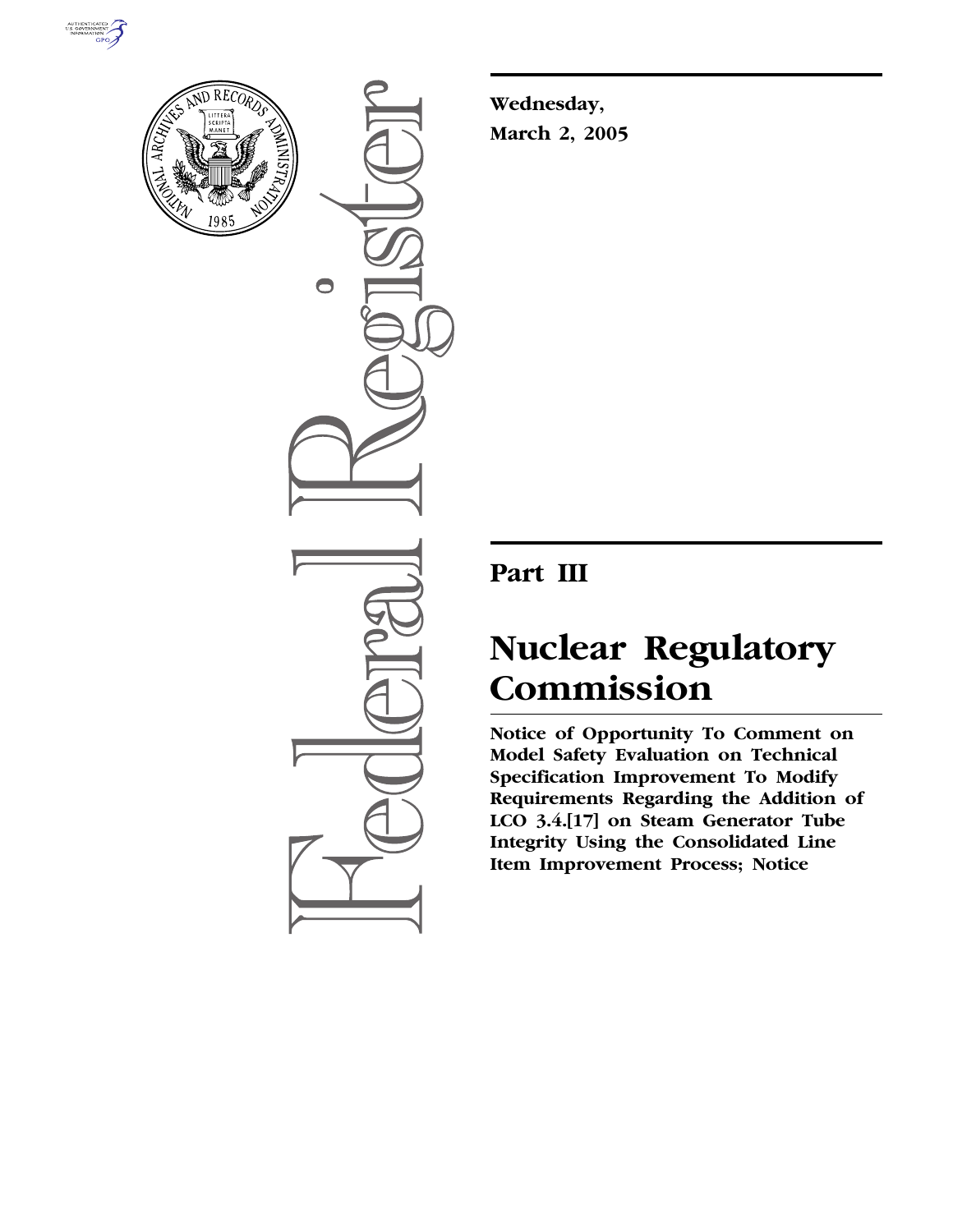



 $\bigcirc$ 

**Wednesday, March 2, 2005**

# **Part III**

# **Nuclear Regulatory Commission**

**Notice of Opportunity To Comment on Model Safety Evaluation on Technical Specification Improvement To Modify Requirements Regarding the Addition of LCO 3.4.[17] on Steam Generator Tube Integrity Using the Consolidated Line Item Improvement Process; Notice**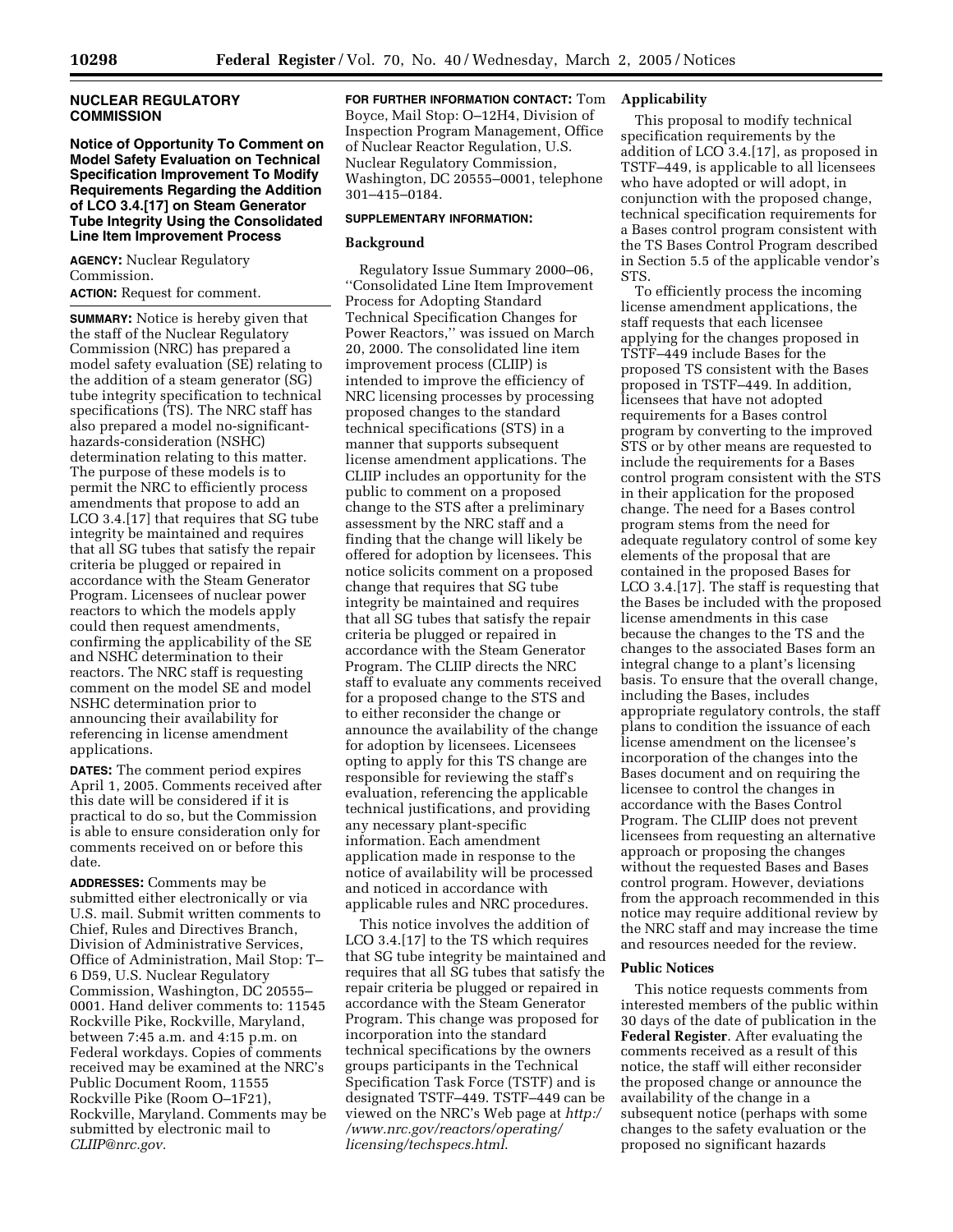# **NUCLEAR REGULATORY COMMISSION**

**Notice of Opportunity To Comment on Model Safety Evaluation on Technical Specification Improvement To Modify Requirements Regarding the Addition of LCO 3.4.[17] on Steam Generator Tube Integrity Using the Consolidated Line Item Improvement Process**

**AGENCY:** Nuclear Regulatory Commission.

**ACTION:** Request for comment.

**SUMMARY:** Notice is hereby given that the staff of the Nuclear Regulatory Commission (NRC) has prepared a model safety evaluation (SE) relating to the addition of a steam generator (SG) tube integrity specification to technical specifications (TS). The NRC staff has also prepared a model no-significanthazards-consideration (NSHC) determination relating to this matter. The purpose of these models is to permit the NRC to efficiently process amendments that propose to add an LCO 3.4.[17] that requires that SG tube integrity be maintained and requires that all SG tubes that satisfy the repair criteria be plugged or repaired in accordance with the Steam Generator Program. Licensees of nuclear power reactors to which the models apply could then request amendments, confirming the applicability of the SE and NSHC determination to their reactors. The NRC staff is requesting comment on the model SE and model NSHC determination prior to announcing their availability for referencing in license amendment applications.

**DATES:** The comment period expires April 1, 2005. Comments received after this date will be considered if it is practical to do so, but the Commission is able to ensure consideration only for comments received on or before this date.

**ADDRESSES:** Comments may be submitted either electronically or via U.S. mail. Submit written comments to Chief, Rules and Directives Branch, Division of Administrative Services, Office of Administration, Mail Stop: T– 6 D59, U.S. Nuclear Regulatory Commission, Washington, DC 20555– 0001. Hand deliver comments to: 11545 Rockville Pike, Rockville, Maryland, between 7:45 a.m. and 4:15 p.m. on Federal workdays. Copies of comments received may be examined at the NRC's Public Document Room, 11555 Rockville Pike (Room O–1F21), Rockville, Maryland. Comments may be submitted by electronic mail to *CLIIP@nrc.gov.*

**FOR FURTHER INFORMATION CONTACT:** Tom Boyce, Mail Stop: O–12H4, Division of Inspection Program Management, Office of Nuclear Reactor Regulation, U.S. Nuclear Regulatory Commission, Washington, DC 20555–0001, telephone 301–415–0184.

#### **SUPPLEMENTARY INFORMATION:**

#### **Background**

Regulatory Issue Summary 2000–06, ''Consolidated Line Item Improvement Process for Adopting Standard Technical Specification Changes for Power Reactors,'' was issued on March 20, 2000. The consolidated line item improvement process (CLIIP) is intended to improve the efficiency of NRC licensing processes by processing proposed changes to the standard technical specifications (STS) in a manner that supports subsequent license amendment applications. The CLIIP includes an opportunity for the public to comment on a proposed change to the STS after a preliminary assessment by the NRC staff and a finding that the change will likely be offered for adoption by licensees. This notice solicits comment on a proposed change that requires that SG tube integrity be maintained and requires that all SG tubes that satisfy the repair criteria be plugged or repaired in accordance with the Steam Generator Program. The CLIIP directs the NRC staff to evaluate any comments received for a proposed change to the STS and to either reconsider the change or announce the availability of the change for adoption by licensees. Licensees opting to apply for this TS change are responsible for reviewing the staff's evaluation, referencing the applicable technical justifications, and providing any necessary plant-specific information. Each amendment application made in response to the notice of availability will be processed and noticed in accordance with applicable rules and NRC procedures.

This notice involves the addition of LCO 3.4.[17] to the TS which requires that SG tube integrity be maintained and requires that all SG tubes that satisfy the repair criteria be plugged or repaired in accordance with the Steam Generator Program. This change was proposed for incorporation into the standard technical specifications by the owners groups participants in the Technical Specification Task Force (TSTF) and is designated TSTF–449. TSTF–449 can be viewed on the NRC's Web page at *http:/ /www.nrc.gov/reactors/operating/ licensing/techspecs.html*.

# **Applicability**

This proposal to modify technical specification requirements by the addition of LCO 3.4.[17], as proposed in TSTF–449, is applicable to all licensees who have adopted or will adopt, in conjunction with the proposed change, technical specification requirements for a Bases control program consistent with the TS Bases Control Program described in Section 5.5 of the applicable vendor's STS.

To efficiently process the incoming license amendment applications, the staff requests that each licensee applying for the changes proposed in TSTF–449 include Bases for the proposed TS consistent with the Bases proposed in TSTF–449. In addition, licensees that have not adopted requirements for a Bases control program by converting to the improved STS or by other means are requested to include the requirements for a Bases control program consistent with the STS in their application for the proposed change. The need for a Bases control program stems from the need for adequate regulatory control of some key elements of the proposal that are contained in the proposed Bases for LCO 3.4.[17]. The staff is requesting that the Bases be included with the proposed license amendments in this case because the changes to the TS and the changes to the associated Bases form an integral change to a plant's licensing basis. To ensure that the overall change, including the Bases, includes appropriate regulatory controls, the staff plans to condition the issuance of each license amendment on the licensee's incorporation of the changes into the Bases document and on requiring the licensee to control the changes in accordance with the Bases Control Program. The CLIIP does not prevent licensees from requesting an alternative approach or proposing the changes without the requested Bases and Bases control program. However, deviations from the approach recommended in this notice may require additional review by the NRC staff and may increase the time and resources needed for the review.

#### **Public Notices**

This notice requests comments from interested members of the public within 30 days of the date of publication in the **Federal Register**. After evaluating the comments received as a result of this notice, the staff will either reconsider the proposed change or announce the availability of the change in a subsequent notice (perhaps with some changes to the safety evaluation or the proposed no significant hazards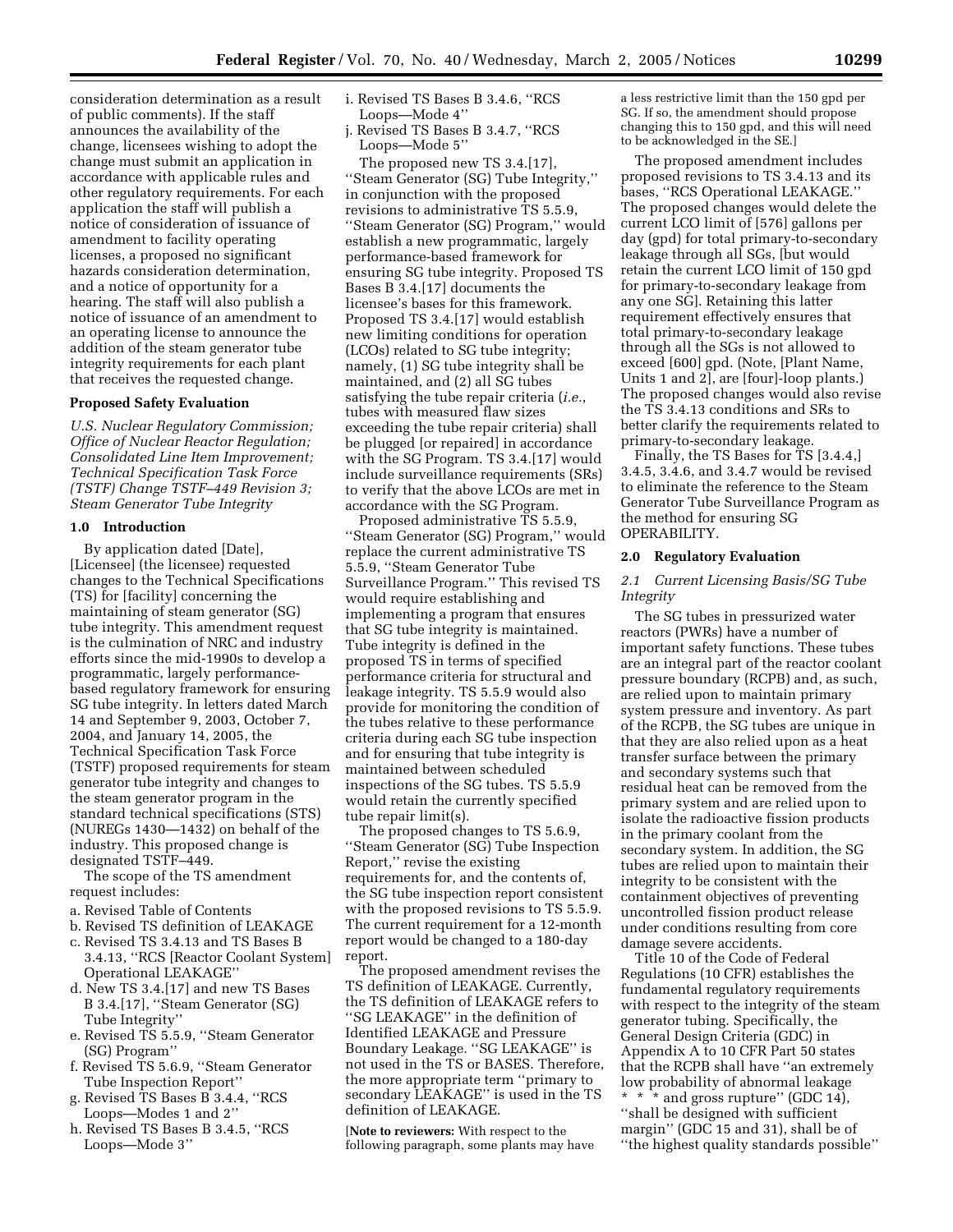consideration determination as a result of public comments). If the staff announces the availability of the change, licensees wishing to adopt the change must submit an application in accordance with applicable rules and other regulatory requirements. For each application the staff will publish a notice of consideration of issuance of amendment to facility operating licenses, a proposed no significant hazards consideration determination, and a notice of opportunity for a hearing. The staff will also publish a notice of issuance of an amendment to an operating license to announce the addition of the steam generator tube integrity requirements for each plant that receives the requested change.

#### **Proposed Safety Evaluation**

*U.S. Nuclear Regulatory Commission; Office of Nuclear Reactor Regulation; Consolidated Line Item Improvement; Technical Specification Task Force (TSTF) Change TSTF–449 Revision 3; Steam Generator Tube Integrity* 

#### **1.0 Introduction**

By application dated [Date], [Licensee] (the licensee) requested changes to the Technical Specifications (TS) for [facility] concerning the maintaining of steam generator (SG) tube integrity. This amendment request is the culmination of NRC and industry efforts since the mid-1990s to develop a programmatic, largely performancebased regulatory framework for ensuring SG tube integrity. In letters dated March 14 and September 9, 2003, October 7, 2004, and January 14, 2005, the Technical Specification Task Force (TSTF) proposed requirements for steam generator tube integrity and changes to the steam generator program in the standard technical specifications (STS) (NUREGs 1430—1432) on behalf of the industry. This proposed change is designated TSTF–449.

The scope of the TS amendment request includes:

- a. Revised Table of Contents
- b. Revised TS definition of LEAKAGE
- c. Revised TS 3.4.13 and TS Bases B 3.4.13, ''RCS [Reactor Coolant System] Operational LEAKAGE''
- d. New TS 3.4.[17] and new TS Bases B 3.4.[17], ''Steam Generator (SG) Tube Integrity''
- e. Revised TS 5.5.9, ''Steam Generator (SG) Program''
- f. Revised TS 5.6.9, ''Steam Generator Tube Inspection Report''
- g. Revised TS Bases B 3.4.4, ''RCS Loops—Modes 1 and 2''
- h. Revised TS Bases B 3.4.5, ''RCS Loops—Mode 3''
- i. Revised TS Bases B 3.4.6, ''RCS Loops—Mode 4''
- j. Revised TS Bases B 3.4.7, ''RCS Loops—Mode 5''

The proposed new TS 3.4.[17], ''Steam Generator (SG) Tube Integrity,'' in conjunction with the proposed revisions to administrative TS 5.5.9, ''Steam Generator (SG) Program,'' would establish a new programmatic, largely performance-based framework for ensuring SG tube integrity. Proposed TS Bases B 3.4.[17] documents the licensee's bases for this framework. Proposed TS 3.4.[17] would establish new limiting conditions for operation (LCOs) related to SG tube integrity; namely, (1) SG tube integrity shall be maintained, and (2) all SG tubes satisfying the tube repair criteria (*i.e.*, tubes with measured flaw sizes exceeding the tube repair criteria) shall be plugged [or repaired] in accordance with the SG Program. TS 3.4.[17] would include surveillance requirements (SRs) to verify that the above LCOs are met in accordance with the SG Program.

Proposed administrative TS 5.5.9, ''Steam Generator (SG) Program,'' would replace the current administrative TS 5.5.9, ''Steam Generator Tube Surveillance Program.'' This revised TS would require establishing and implementing a program that ensures that SG tube integrity is maintained. Tube integrity is defined in the proposed TS in terms of specified performance criteria for structural and leakage integrity. TS 5.5.9 would also provide for monitoring the condition of the tubes relative to these performance criteria during each SG tube inspection and for ensuring that tube integrity is maintained between scheduled inspections of the SG tubes. TS 5.5.9 would retain the currently specified tube repair limit(s).

The proposed changes to TS 5.6.9, ''Steam Generator (SG) Tube Inspection Report,'' revise the existing requirements for, and the contents of, the SG tube inspection report consistent with the proposed revisions to TS 5.5.9. The current requirement for a 12-month report would be changed to a 180-day report.

The proposed amendment revises the TS definition of LEAKAGE. Currently, the TS definition of LEAKAGE refers to ''SG LEAKAGE'' in the definition of Identified LEAKAGE and Pressure Boundary Leakage. ''SG LEAKAGE'' is not used in the TS or BASES. Therefore, the more appropriate term ''primary to secondary LEAKAGE'' is used in the TS definition of LEAKAGE.

[**Note to reviewers:** With respect to the following paragraph, some plants may have a less restrictive limit than the 150 gpd per SG. If so, the amendment should propose changing this to 150 gpd, and this will need to be acknowledged in the SE.]

The proposed amendment includes proposed revisions to TS 3.4.13 and its bases, ''RCS Operational LEAKAGE.'' The proposed changes would delete the current LCO limit of [576] gallons per day (gpd) for total primary-to-secondary leakage through all SGs, [but would retain the current LCO limit of 150 gpd for primary-to-secondary leakage from any one SG]. Retaining this latter requirement effectively ensures that total primary-to-secondary leakage through all the SGs is not allowed to exceed [600] gpd. (Note, [Plant Name, Units 1 and 2], are [four]-loop plants.) The proposed changes would also revise the TS 3.4.13 conditions and SRs to better clarify the requirements related to primary-to-secondary leakage.

Finally, the TS Bases for TS [3.4.4,] 3.4.5, 3.4.6, and 3.4.7 would be revised to eliminate the reference to the Steam Generator Tube Surveillance Program as the method for ensuring SG OPERABILITY.

#### **2.0 Regulatory Evaluation**

# *2.1 Current Licensing Basis/SG Tube Integrity*

The SG tubes in pressurized water reactors (PWRs) have a number of important safety functions. These tubes are an integral part of the reactor coolant pressure boundary (RCPB) and, as such, are relied upon to maintain primary system pressure and inventory. As part of the RCPB, the SG tubes are unique in that they are also relied upon as a heat transfer surface between the primary and secondary systems such that residual heat can be removed from the primary system and are relied upon to isolate the radioactive fission products in the primary coolant from the secondary system. In addition, the SG tubes are relied upon to maintain their integrity to be consistent with the containment objectives of preventing uncontrolled fission product release under conditions resulting from core damage severe accidents.

Title 10 of the Code of Federal Regulations (10 CFR) establishes the fundamental regulatory requirements with respect to the integrity of the steam generator tubing. Specifically, the General Design Criteria (GDC) in Appendix A to 10 CFR Part 50 states that the RCPB shall have ''an extremely low probability of abnormal leakage \* \* \* and gross rupture'' (GDC 14), ''shall be designed with sufficient margin'' (GDC 15 and 31), shall be of ''the highest quality standards possible''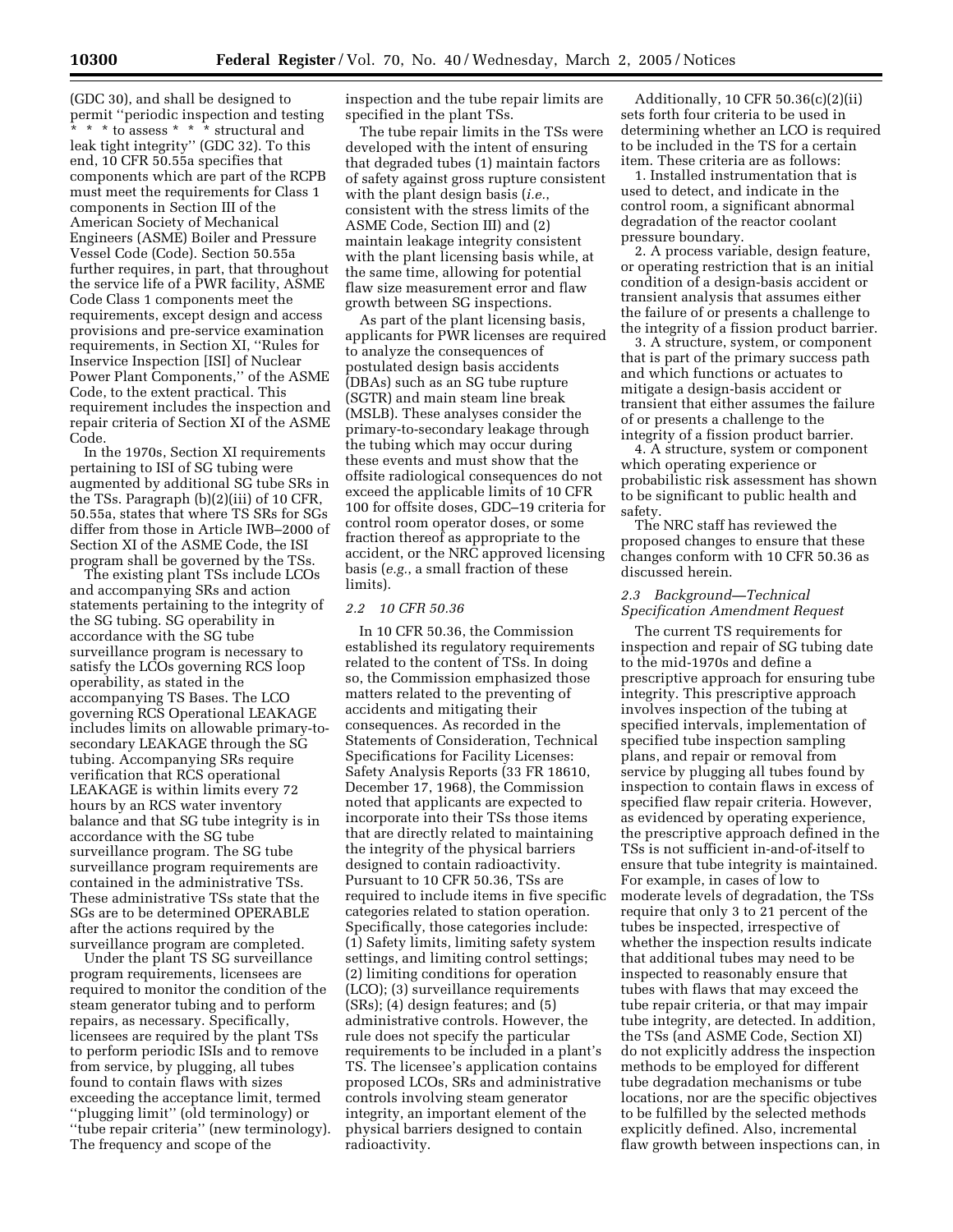(GDC 30), and shall be designed to permit ''periodic inspection and testing \* \* \* to assess \* \* \* structural and leak tight integrity'' (GDC 32). To this end, 10 CFR 50.55a specifies that components which are part of the RCPB must meet the requirements for Class 1 components in Section III of the American Society of Mechanical Engineers (ASME) Boiler and Pressure Vessel Code (Code). Section 50.55a further requires, in part, that throughout the service life of a PWR facility, ASME Code Class 1 components meet the requirements, except design and access provisions and pre-service examination requirements, in Section XI, ''Rules for Inservice Inspection [ISI] of Nuclear Power Plant Components,'' of the ASME Code, to the extent practical. This requirement includes the inspection and repair criteria of Section XI of the ASME Code.

In the 1970s, Section XI requirements pertaining to ISI of SG tubing were augmented by additional SG tube SRs in the TSs. Paragraph (b)(2)(iii) of 10 CFR, 50.55a, states that where TS SRs for SGs differ from those in Article IWB–2000 of Section XI of the ASME Code, the ISI program shall be governed by the TSs.

The existing plant TSs include LCOs and accompanying SRs and action statements pertaining to the integrity of the SG tubing. SG operability in accordance with the SG tube surveillance program is necessary to satisfy the LCOs governing RCS loop operability, as stated in the accompanying TS Bases. The LCO governing RCS Operational LEAKAGE includes limits on allowable primary-tosecondary LEAKAGE through the SG tubing. Accompanying SRs require verification that RCS operational LEAKAGE is within limits every 72 hours by an RCS water inventory balance and that SG tube integrity is in accordance with the SG tube surveillance program. The SG tube surveillance program requirements are contained in the administrative TSs. These administrative TSs state that the SGs are to be determined OPERABLE after the actions required by the surveillance program are completed.

Under the plant TS SG surveillance program requirements, licensees are required to monitor the condition of the steam generator tubing and to perform repairs, as necessary. Specifically, licensees are required by the plant TSs to perform periodic ISIs and to remove from service, by plugging, all tubes found to contain flaws with sizes exceeding the acceptance limit, termed ''plugging limit'' (old terminology) or ''tube repair criteria'' (new terminology). The frequency and scope of the

inspection and the tube repair limits are specified in the plant TSs.

The tube repair limits in the TSs were developed with the intent of ensuring that degraded tubes (1) maintain factors of safety against gross rupture consistent with the plant design basis (*i.e.*, consistent with the stress limits of the ASME Code, Section III) and (2) maintain leakage integrity consistent with the plant licensing basis while, at the same time, allowing for potential flaw size measurement error and flaw growth between SG inspections.

As part of the plant licensing basis, applicants for PWR licenses are required to analyze the consequences of postulated design basis accidents (DBAs) such as an SG tube rupture (SGTR) and main steam line break (MSLB). These analyses consider the primary-to-secondary leakage through the tubing which may occur during these events and must show that the offsite radiological consequences do not exceed the applicable limits of 10 CFR 100 for offsite doses, GDC–19 criteria for control room operator doses, or some fraction thereof as appropriate to the accident, or the NRC approved licensing basis (*e.g.*, a small fraction of these limits).

#### *2.2 10 CFR 50.36*

In 10 CFR 50.36, the Commission established its regulatory requirements related to the content of TSs. In doing so, the Commission emphasized those matters related to the preventing of accidents and mitigating their consequences. As recorded in the Statements of Consideration, Technical Specifications for Facility Licenses: Safety Analysis Reports (33 FR 18610, December 17, 1968), the Commission noted that applicants are expected to incorporate into their TSs those items that are directly related to maintaining the integrity of the physical barriers designed to contain radioactivity. Pursuant to 10 CFR 50.36, TSs are required to include items in five specific categories related to station operation. Specifically, those categories include: (1) Safety limits, limiting safety system settings, and limiting control settings; (2) limiting conditions for operation (LCO); (3) surveillance requirements (SRs); (4) design features; and (5) administrative controls. However, the rule does not specify the particular requirements to be included in a plant's TS. The licensee's application contains proposed LCOs, SRs and administrative controls involving steam generator integrity, an important element of the physical barriers designed to contain radioactivity.

Additionally, 10 CFR 50.36(c)(2)(ii) sets forth four criteria to be used in determining whether an LCO is required to be included in the TS for a certain item. These criteria are as follows:

1. Installed instrumentation that is used to detect, and indicate in the control room, a significant abnormal degradation of the reactor coolant pressure boundary.

2. A process variable, design feature, or operating restriction that is an initial condition of a design-basis accident or transient analysis that assumes either the failure of or presents a challenge to the integrity of a fission product barrier.

3. A structure, system, or component that is part of the primary success path and which functions or actuates to mitigate a design-basis accident or transient that either assumes the failure of or presents a challenge to the integrity of a fission product barrier.

4. A structure, system or component which operating experience or probabilistic risk assessment has shown to be significant to public health and safety.

The NRC staff has reviewed the proposed changes to ensure that these changes conform with 10 CFR 50.36 as discussed herein.

#### *2.3 Background—Technical Specification Amendment Request*

The current TS requirements for inspection and repair of SG tubing date to the mid-1970s and define a prescriptive approach for ensuring tube integrity. This prescriptive approach involves inspection of the tubing at specified intervals, implementation of specified tube inspection sampling plans, and repair or removal from service by plugging all tubes found by inspection to contain flaws in excess of specified flaw repair criteria. However, as evidenced by operating experience, the prescriptive approach defined in the TSs is not sufficient in-and-of-itself to ensure that tube integrity is maintained. For example, in cases of low to moderate levels of degradation, the TSs require that only 3 to 21 percent of the tubes be inspected, irrespective of whether the inspection results indicate that additional tubes may need to be inspected to reasonably ensure that tubes with flaws that may exceed the tube repair criteria, or that may impair tube integrity, are detected. In addition, the TSs (and ASME Code, Section XI) do not explicitly address the inspection methods to be employed for different tube degradation mechanisms or tube locations, nor are the specific objectives to be fulfilled by the selected methods explicitly defined. Also, incremental flaw growth between inspections can, in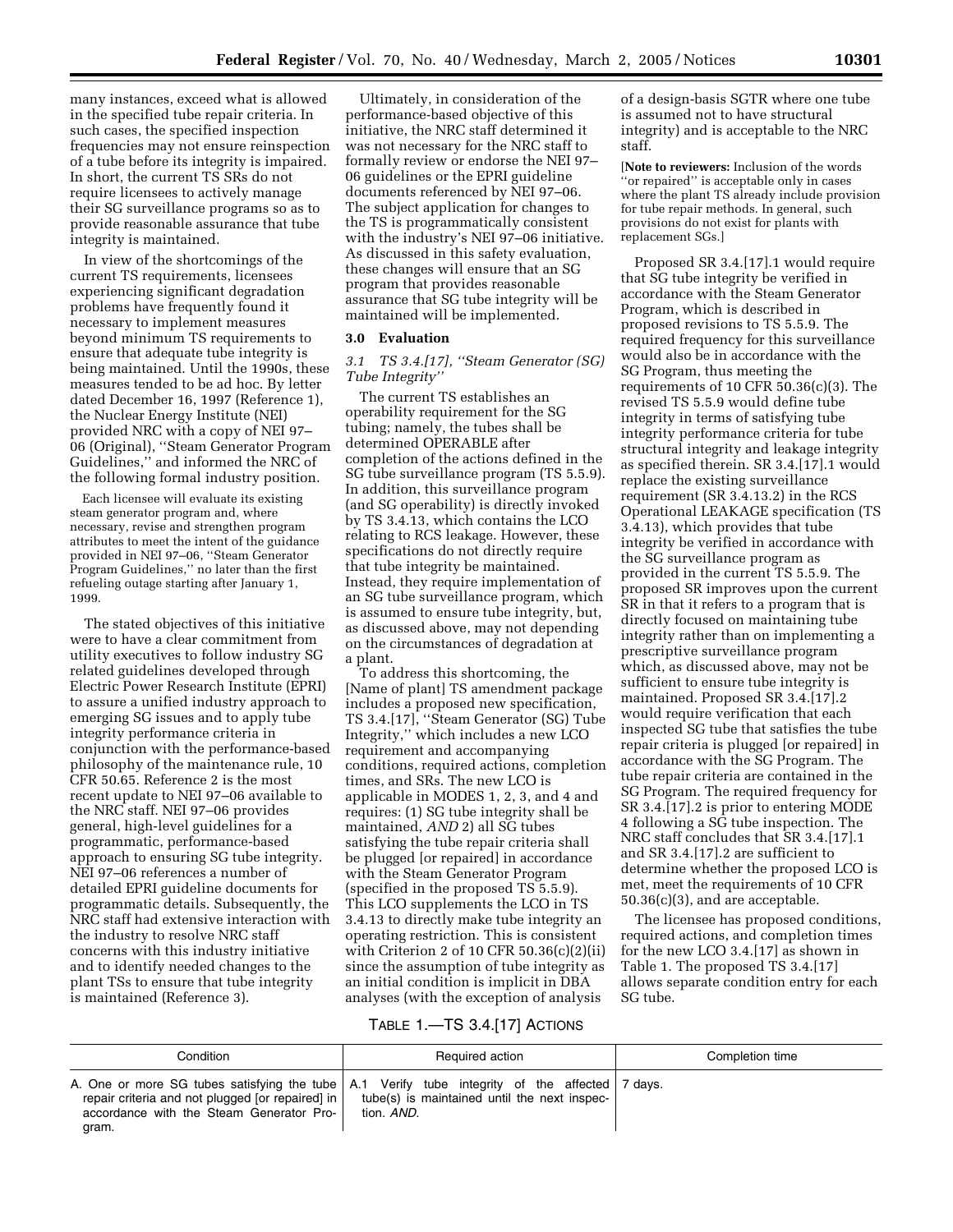many instances, exceed what is allowed in the specified tube repair criteria. In such cases, the specified inspection frequencies may not ensure reinspection of a tube before its integrity is impaired. In short, the current TS SRs do not require licensees to actively manage their SG surveillance programs so as to provide reasonable assurance that tube integrity is maintained.

In view of the shortcomings of the current TS requirements, licensees experiencing significant degradation problems have frequently found it necessary to implement measures beyond minimum TS requirements to ensure that adequate tube integrity is being maintained. Until the 1990s, these measures tended to be ad hoc. By letter dated December 16, 1997 (Reference 1), the Nuclear Energy Institute (NEI) provided NRC with a copy of NEI 97– 06 (Original), ''Steam Generator Program Guidelines,'' and informed the NRC of the following formal industry position.

Each licensee will evaluate its existing steam generator program and, where necessary, revise and strengthen program attributes to meet the intent of the guidance provided in NEI 97–06, ''Steam Generator Program Guidelines,'' no later than the first refueling outage starting after January 1, 1999.

The stated objectives of this initiative were to have a clear commitment from utility executives to follow industry SG related guidelines developed through Electric Power Research Institute (EPRI) to assure a unified industry approach to emerging SG issues and to apply tube integrity performance criteria in conjunction with the performance-based philosophy of the maintenance rule, 10 CFR 50.65. Reference 2 is the most recent update to NEI 97–06 available to the NRC staff. NEI 97–06 provides general, high-level guidelines for a programmatic, performance-based approach to ensuring SG tube integrity. NEI 97–06 references a number of detailed EPRI guideline documents for programmatic details. Subsequently, the NRC staff had extensive interaction with the industry to resolve NRC staff concerns with this industry initiative and to identify needed changes to the plant TSs to ensure that tube integrity is maintained (Reference 3).

Ultimately, in consideration of the performance-based objective of this initiative, the NRC staff determined it was not necessary for the NRC staff to formally review or endorse the NEI 97– 06 guidelines or the EPRI guideline documents referenced by NEI 97–06. The subject application for changes to the TS is programmatically consistent with the industry's NEI 97–06 initiative. As discussed in this safety evaluation, these changes will ensure that an SG program that provides reasonable assurance that SG tube integrity will be maintained will be implemented.

#### **3.0 Evaluation**

*3.1 TS 3.4.[17], ''Steam Generator (SG) Tube Integrity''*

The current TS establishes an operability requirement for the SG tubing; namely, the tubes shall be determined OPERABLE after completion of the actions defined in the SG tube surveillance program (TS 5.5.9). In addition, this surveillance program (and SG operability) is directly invoked by TS 3.4.13, which contains the LCO relating to RCS leakage. However, these specifications do not directly require that tube integrity be maintained. Instead, they require implementation of an SG tube surveillance program, which is assumed to ensure tube integrity, but, as discussed above, may not depending on the circumstances of degradation at a plant.

To address this shortcoming, the [Name of plant] TS amendment package includes a proposed new specification, TS 3.4.[17], ''Steam Generator (SG) Tube Integrity,'' which includes a new LCO requirement and accompanying conditions, required actions, completion times, and SRs. The new LCO is applicable in MODES 1, 2, 3, and 4 and requires: (1) SG tube integrity shall be maintained, *AND* 2) all SG tubes satisfying the tube repair criteria shall be plugged [or repaired] in accordance with the Steam Generator Program (specified in the proposed TS 5.5.9). This LCO supplements the LCO in TS 3.4.13 to directly make tube integrity an operating restriction. This is consistent with Criterion 2 of 10 CFR 50.36(c)(2)(ii) since the assumption of tube integrity as an initial condition is implicit in DBA analyses (with the exception of analysis

of a design-basis SGTR where one tube is assumed not to have structural integrity) and is acceptable to the NRC staff.

[**Note to reviewers:** Inclusion of the words ''or repaired'' is acceptable only in cases where the plant TS already include provision for tube repair methods. In general, such provisions do not exist for plants with replacement SGs.]

Proposed SR 3.4.[17].1 would require that SG tube integrity be verified in accordance with the Steam Generator Program, which is described in proposed revisions to TS 5.5.9. The required frequency for this surveillance would also be in accordance with the SG Program, thus meeting the requirements of 10 CFR 50.36(c)(3). The revised TS 5.5.9 would define tube integrity in terms of satisfying tube integrity performance criteria for tube structural integrity and leakage integrity as specified therein. SR 3.4.[17].1 would replace the existing surveillance requirement (SR 3.4.13.2) in the RCS Operational LEAKAGE specification (TS 3.4.13), which provides that tube integrity be verified in accordance with the SG surveillance program as provided in the current TS 5.5.9. The proposed SR improves upon the current SR in that it refers to a program that is directly focused on maintaining tube integrity rather than on implementing a prescriptive surveillance program which, as discussed above, may not be sufficient to ensure tube integrity is maintained. Proposed SR 3.4.[17].2 would require verification that each inspected SG tube that satisfies the tube repair criteria is plugged [or repaired] in accordance with the SG Program. The tube repair criteria are contained in the SG Program. The required frequency for SR 3.4.[17].2 is prior to entering MODE 4 following a SG tube inspection. The NRC staff concludes that SR 3.4.[17].1 and SR 3.4.[17].2 are sufficient to determine whether the proposed LCO is met, meet the requirements of 10 CFR 50.36(c)(3), and are acceptable.

The licensee has proposed conditions, required actions, and completion times for the new LCO 3.4.[17] as shown in Table 1. The proposed TS 3.4.[17] allows separate condition entry for each SG tube.

# TABLE 1.—TS 3.4.[17] ACTIONS

| Condition                                                                                                                                                                                                        | Required action                                            | Completion time |
|------------------------------------------------------------------------------------------------------------------------------------------------------------------------------------------------------------------|------------------------------------------------------------|-----------------|
| A. One or more SG tubes satisfying the tube $\vert$ A.1 Verify tube integrity of the affected $\vert$<br>repair criteria and not plugged [or repaired] in  <br>accordance with the Steam Generator Pro-<br>gram. | tube(s) is maintained until the next inspec-<br>tion. AND. | 7 davs.         |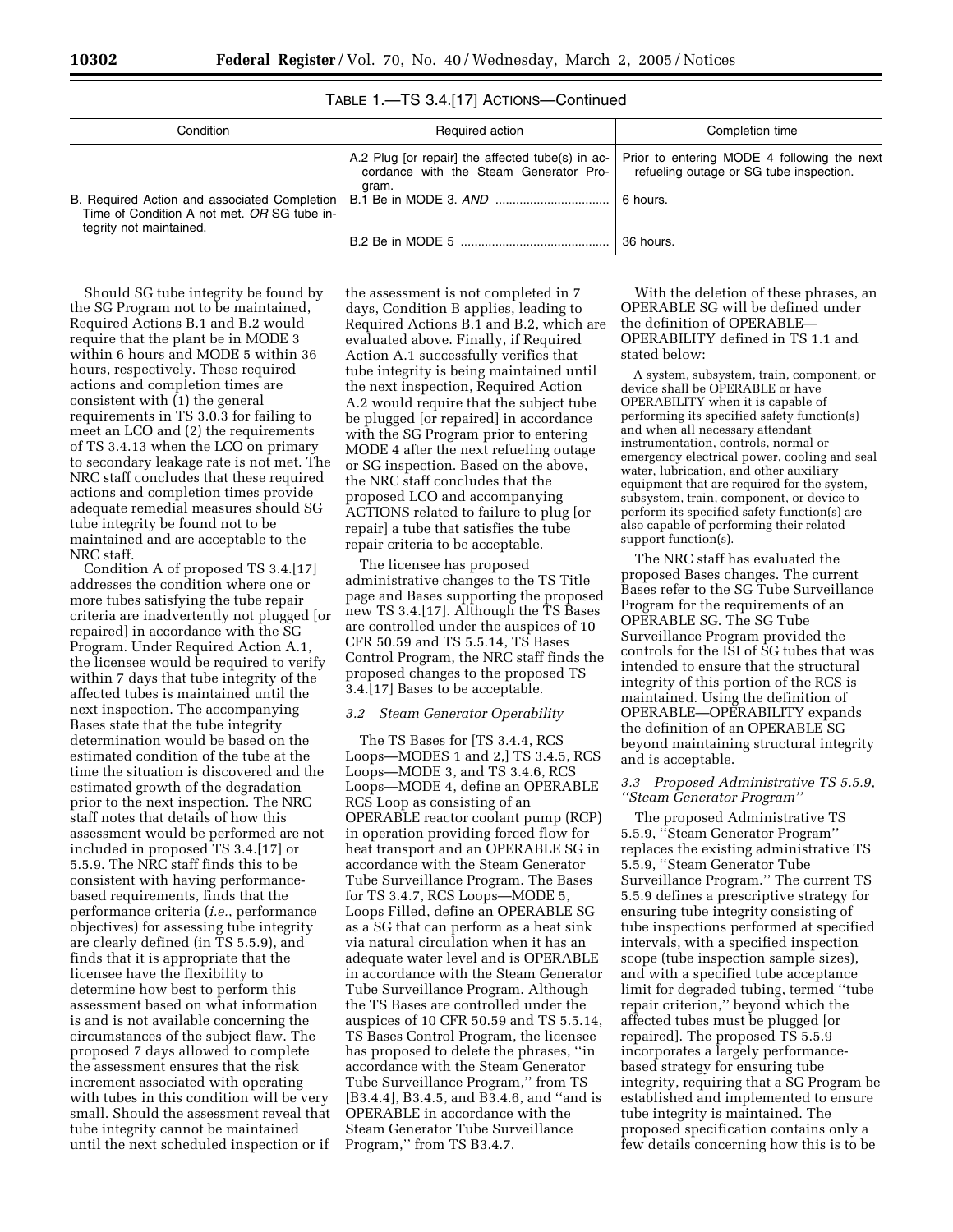| Condition                                                              | Required action                                                                                     | Completion time                                                                                    |
|------------------------------------------------------------------------|-----------------------------------------------------------------------------------------------------|----------------------------------------------------------------------------------------------------|
| Time of Condition A not met. OR SG tube in-<br>tegrity not maintained. | A.2 Plug [or repair] the affected tube(s) in ac-<br>cordance with the Steam Generator Pro-<br>gram. | Prior to entering MODE 4 following the next<br>refueling outage or SG tube inspection.<br>6 hours. |
|                                                                        |                                                                                                     | 36 hours.                                                                                          |

TABLE 1.—TS 3.4.[17] ACTIONS—Continued

Should SG tube integrity be found by the SG Program not to be maintained, Required Actions B.1 and B.2 would require that the plant be in MODE 3 within 6 hours and MODE 5 within 36 hours, respectively. These required actions and completion times are consistent with (1) the general requirements in TS 3.0.3 for failing to meet an LCO and (2) the requirements of TS 3.4.13 when the LCO on primary to secondary leakage rate is not met. The NRC staff concludes that these required actions and completion times provide adequate remedial measures should SG tube integrity be found not to be maintained and are acceptable to the NRC staff.

Condition A of proposed TS 3.4.[17] addresses the condition where one or more tubes satisfying the tube repair criteria are inadvertently not plugged [or repaired] in accordance with the SG Program. Under Required Action A.1, the licensee would be required to verify within 7 days that tube integrity of the affected tubes is maintained until the next inspection. The accompanying Bases state that the tube integrity determination would be based on the estimated condition of the tube at the time the situation is discovered and the estimated growth of the degradation prior to the next inspection. The NRC staff notes that details of how this assessment would be performed are not included in proposed TS 3.4.[17] or 5.5.9. The NRC staff finds this to be consistent with having performancebased requirements, finds that the performance criteria (*i.e.*, performance objectives) for assessing tube integrity are clearly defined (in TS 5.5.9), and finds that it is appropriate that the licensee have the flexibility to determine how best to perform this assessment based on what information is and is not available concerning the circumstances of the subject flaw. The proposed 7 days allowed to complete the assessment ensures that the risk increment associated with operating with tubes in this condition will be very small. Should the assessment reveal that tube integrity cannot be maintained until the next scheduled inspection or if

the assessment is not completed in 7 days, Condition B applies, leading to Required Actions B.1 and B.2, which are evaluated above. Finally, if Required Action A.1 successfully verifies that tube integrity is being maintained until the next inspection, Required Action A.2 would require that the subject tube be plugged [or repaired] in accordance with the SG Program prior to entering MODE 4 after the next refueling outage or SG inspection. Based on the above, the NRC staff concludes that the proposed LCO and accompanying ACTIONS related to failure to plug [or repair] a tube that satisfies the tube repair criteria to be acceptable.

The licensee has proposed administrative changes to the TS Title page and Bases supporting the proposed new TS 3.4.[17]. Although the TS Bases are controlled under the auspices of 10 CFR 50.59 and TS 5.5.14, TS Bases Control Program, the NRC staff finds the proposed changes to the proposed TS 3.4.[17] Bases to be acceptable.

#### *3.2 Steam Generator Operability*

The TS Bases for [TS 3.4.4, RCS Loops—MODES 1 and 2,] TS 3.4.5, RCS Loops—MODE 3, and TS 3.4.6, RCS Loops—MODE 4, define an OPERABLE RCS Loop as consisting of an OPERABLE reactor coolant pump (RCP) in operation providing forced flow for heat transport and an OPERABLE SG in accordance with the Steam Generator Tube Surveillance Program. The Bases for TS 3.4.7, RCS Loops—MODE 5, Loops Filled, define an OPERABLE SG as a SG that can perform as a heat sink via natural circulation when it has an adequate water level and is OPERABLE in accordance with the Steam Generator Tube Surveillance Program. Although the TS Bases are controlled under the auspices of 10 CFR 50.59 and TS 5.5.14, TS Bases Control Program, the licensee has proposed to delete the phrases, ''in accordance with the Steam Generator Tube Surveillance Program,'' from TS [B3.4.4], B3.4.5, and B3.4.6, and ''and is OPERABLE in accordance with the Steam Generator Tube Surveillance Program,'' from TS B3.4.7.

With the deletion of these phrases, an OPERABLE SG will be defined under the definition of OPERABLE— OPERABILITY defined in TS 1.1 and stated below:

A system, subsystem, train, component, or device shall be OPERABLE or have OPERABILITY when it is capable of performing its specified safety function(s) and when all necessary attendant instrumentation, controls, normal or emergency electrical power, cooling and seal water, lubrication, and other auxiliary equipment that are required for the system, subsystem, train, component, or device to perform its specified safety function(s) are also capable of performing their related support function(s).

The NRC staff has evaluated the proposed Bases changes. The current Bases refer to the SG Tube Surveillance Program for the requirements of an OPERABLE SG. The SG Tube Surveillance Program provided the controls for the ISI of SG tubes that was intended to ensure that the structural integrity of this portion of the RCS is maintained. Using the definition of OPERABLE—OPERABILITY expands the definition of an OPERABLE SG beyond maintaining structural integrity and is acceptable.

# *3.3 Proposed Administrative TS 5.5.9, ''Steam Generator Program''*

The proposed Administrative TS 5.5.9, ''Steam Generator Program'' replaces the existing administrative TS 5.5.9, ''Steam Generator Tube Surveillance Program.'' The current TS 5.5.9 defines a prescriptive strategy for ensuring tube integrity consisting of tube inspections performed at specified intervals, with a specified inspection scope (tube inspection sample sizes), and with a specified tube acceptance limit for degraded tubing, termed ''tube repair criterion,'' beyond which the affected tubes must be plugged [or repaired]. The proposed TS 5.5.9 incorporates a largely performancebased strategy for ensuring tube integrity, requiring that a SG Program be established and implemented to ensure tube integrity is maintained. The proposed specification contains only a few details concerning how this is to be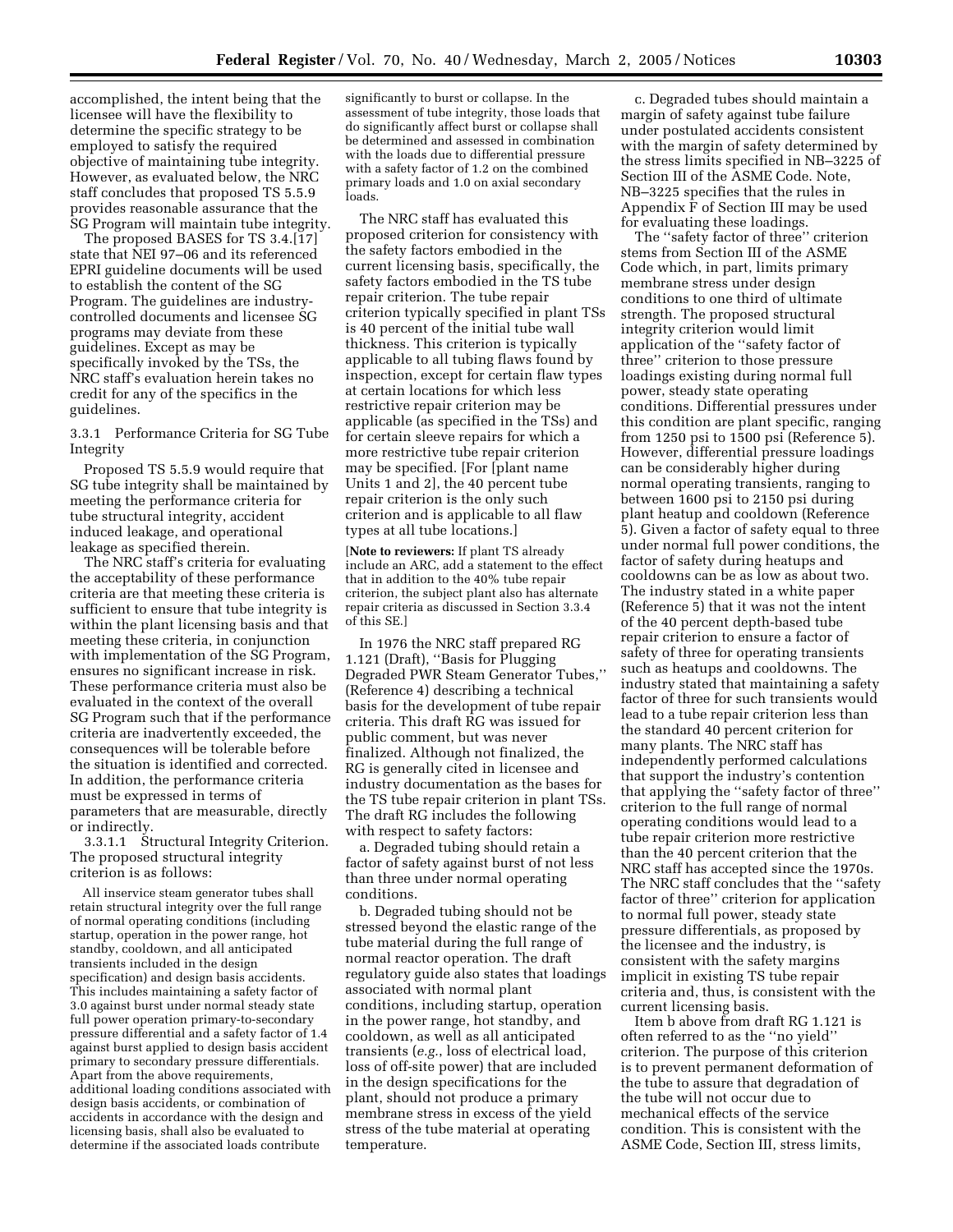accomplished, the intent being that the licensee will have the flexibility to determine the specific strategy to be employed to satisfy the required objective of maintaining tube integrity. However, as evaluated below, the NRC staff concludes that proposed TS 5.5.9 provides reasonable assurance that the SG Program will maintain tube integrity.

The proposed BASES for TS 3.4.[17] state that NEI 97–06 and its referenced EPRI guideline documents will be used to establish the content of the SG Program. The guidelines are industrycontrolled documents and licensee SG programs may deviate from these guidelines. Except as may be specifically invoked by the TSs, the NRC staff's evaluation herein takes no credit for any of the specifics in the guidelines.

3.3.1 Performance Criteria for SG Tube Integrity

Proposed TS 5.5.9 would require that SG tube integrity shall be maintained by meeting the performance criteria for tube structural integrity, accident induced leakage, and operational leakage as specified therein.

The NRC staff's criteria for evaluating the acceptability of these performance criteria are that meeting these criteria is sufficient to ensure that tube integrity is within the plant licensing basis and that meeting these criteria, in conjunction with implementation of the SG Program, ensures no significant increase in risk. These performance criteria must also be evaluated in the context of the overall SG Program such that if the performance criteria are inadvertently exceeded, the consequences will be tolerable before the situation is identified and corrected. In addition, the performance criteria must be expressed in terms of parameters that are measurable, directly or indirectly.

3.3.1.1 Structural Integrity Criterion. The proposed structural integrity criterion is as follows:

All inservice steam generator tubes shall retain structural integrity over the full range of normal operating conditions (including startup, operation in the power range, hot standby, cooldown, and all anticipated transients included in the design specification) and design basis accidents. This includes maintaining a safety factor of 3.0 against burst under normal steady state full power operation primary-to-secondary pressure differential and a safety factor of 1.4 against burst applied to design basis accident primary to secondary pressure differentials. Apart from the above requirements, additional loading conditions associated with design basis accidents, or combination of accidents in accordance with the design and licensing basis, shall also be evaluated to determine if the associated loads contribute

significantly to burst or collapse. In the assessment of tube integrity, those loads that do significantly affect burst or collapse shall be determined and assessed in combination with the loads due to differential pressure with a safety factor of 1.2 on the combined primary loads and 1.0 on axial secondary loads.

The NRC staff has evaluated this proposed criterion for consistency with the safety factors embodied in the current licensing basis, specifically, the safety factors embodied in the TS tube repair criterion. The tube repair criterion typically specified in plant TSs is 40 percent of the initial tube wall thickness. This criterion is typically applicable to all tubing flaws found by inspection, except for certain flaw types at certain locations for which less restrictive repair criterion may be applicable (as specified in the TSs) and for certain sleeve repairs for which a more restrictive tube repair criterion may be specified. [For [plant name Units 1 and 2], the 40 percent tube repair criterion is the only such criterion and is applicable to all flaw types at all tube locations.]

[**Note to reviewers:** If plant TS already include an ARC, add a statement to the effect that in addition to the 40% tube repair criterion, the subject plant also has alternate repair criteria as discussed in Section 3.3.4 of this SE.]

In 1976 the NRC staff prepared RG 1.121 (Draft), ''Basis for Plugging Degraded PWR Steam Generator Tubes,'' (Reference 4) describing a technical basis for the development of tube repair criteria. This draft RG was issued for public comment, but was never finalized. Although not finalized, the RG is generally cited in licensee and industry documentation as the bases for the TS tube repair criterion in plant TSs. The draft RG includes the following with respect to safety factors:

a. Degraded tubing should retain a factor of safety against burst of not less than three under normal operating conditions.

b. Degraded tubing should not be stressed beyond the elastic range of the tube material during the full range of normal reactor operation. The draft regulatory guide also states that loadings associated with normal plant conditions, including startup, operation in the power range, hot standby, and cooldown, as well as all anticipated transients (*e.g.*, loss of electrical load, loss of off-site power) that are included in the design specifications for the plant, should not produce a primary membrane stress in excess of the yield stress of the tube material at operating temperature.

c. Degraded tubes should maintain a margin of safety against tube failure under postulated accidents consistent with the margin of safety determined by the stress limits specified in NB–3225 of Section III of the ASME Code. Note, NB–3225 specifies that the rules in Appendix F of Section III may be used for evaluating these loadings.

The ''safety factor of three'' criterion stems from Section III of the ASME Code which, in part, limits primary membrane stress under design conditions to one third of ultimate strength. The proposed structural integrity criterion would limit application of the ''safety factor of three'' criterion to those pressure loadings existing during normal full power, steady state operating conditions. Differential pressures under this condition are plant specific, ranging from 1250 psi to 1500 psi (Reference 5). However, differential pressure loadings can be considerably higher during normal operating transients, ranging to between 1600 psi to 2150 psi during plant heatup and cooldown (Reference 5). Given a factor of safety equal to three under normal full power conditions, the factor of safety during heatups and cooldowns can be as low as about two. The industry stated in a white paper (Reference 5) that it was not the intent of the 40 percent depth-based tube repair criterion to ensure a factor of safety of three for operating transients such as heatups and cooldowns. The industry stated that maintaining a safety factor of three for such transients would lead to a tube repair criterion less than the standard 40 percent criterion for many plants. The NRC staff has independently performed calculations that support the industry's contention that applying the ''safety factor of three'' criterion to the full range of normal operating conditions would lead to a tube repair criterion more restrictive than the 40 percent criterion that the NRC staff has accepted since the 1970s. The NRC staff concludes that the ''safety factor of three'' criterion for application to normal full power, steady state pressure differentials, as proposed by the licensee and the industry, is consistent with the safety margins implicit in existing TS tube repair criteria and, thus, is consistent with the current licensing basis.

Item b above from draft RG 1.121 is often referred to as the ''no yield'' criterion. The purpose of this criterion is to prevent permanent deformation of the tube to assure that degradation of the tube will not occur due to mechanical effects of the service condition. This is consistent with the ASME Code, Section III, stress limits,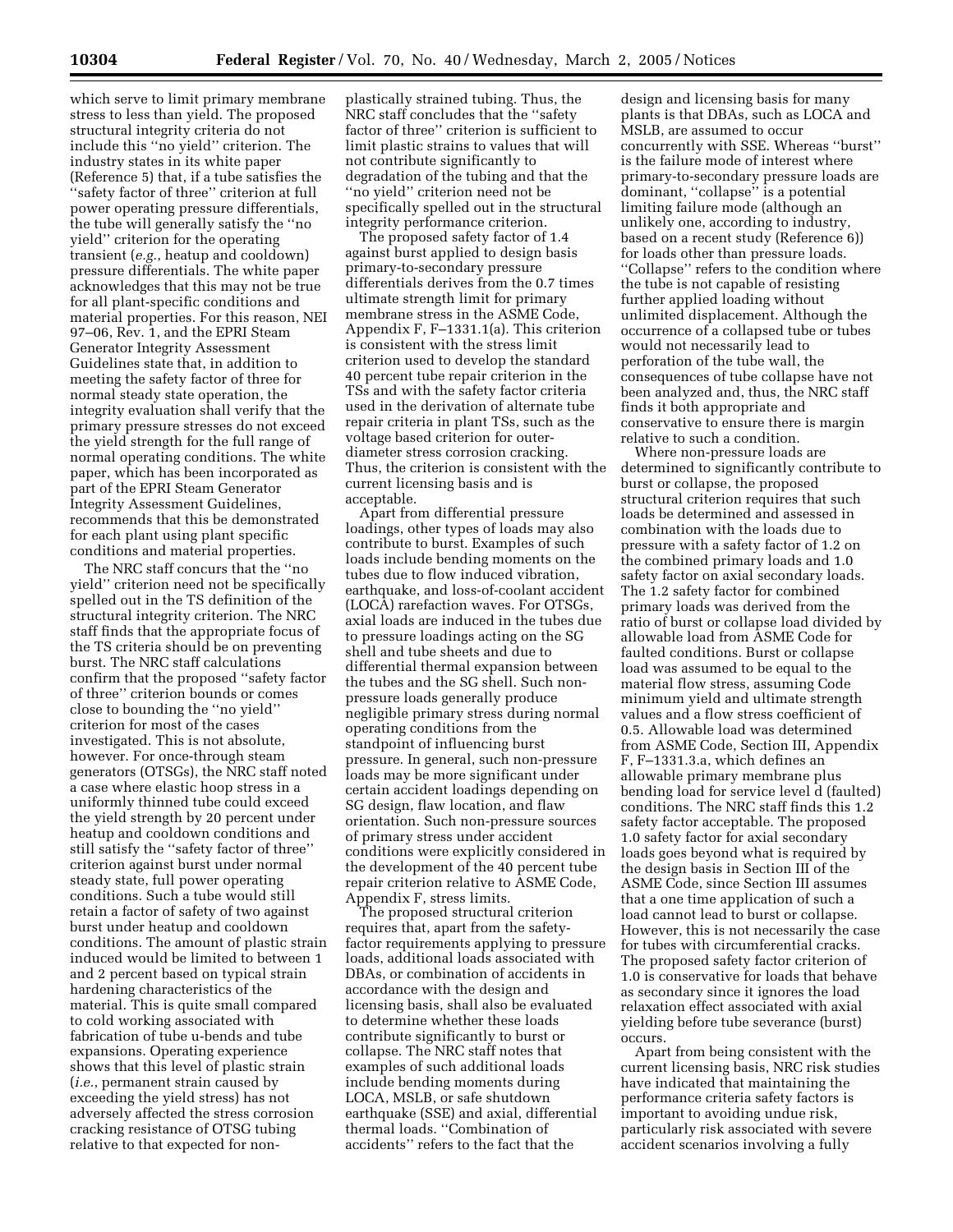which serve to limit primary membrane stress to less than yield. The proposed structural integrity criteria do not include this ''no yield'' criterion. The industry states in its white paper (Reference 5) that, if a tube satisfies the ''safety factor of three'' criterion at full power operating pressure differentials, the tube will generally satisfy the ''no yield'' criterion for the operating transient (*e.g.*, heatup and cooldown) pressure differentials. The white paper acknowledges that this may not be true for all plant-specific conditions and material properties. For this reason, NEI 97–06, Rev. 1, and the EPRI Steam Generator Integrity Assessment Guidelines state that, in addition to meeting the safety factor of three for normal steady state operation, the integrity evaluation shall verify that the primary pressure stresses do not exceed the yield strength for the full range of normal operating conditions. The white paper, which has been incorporated as part of the EPRI Steam Generator Integrity Assessment Guidelines, recommends that this be demonstrated for each plant using plant specific conditions and material properties.

The NRC staff concurs that the ''no yield'' criterion need not be specifically spelled out in the TS definition of the structural integrity criterion. The NRC staff finds that the appropriate focus of the TS criteria should be on preventing burst. The NRC staff calculations confirm that the proposed ''safety factor of three'' criterion bounds or comes close to bounding the ''no yield'' criterion for most of the cases investigated. This is not absolute, however. For once-through steam generators (OTSGs), the NRC staff noted a case where elastic hoop stress in a uniformly thinned tube could exceed the yield strength by 20 percent under heatup and cooldown conditions and still satisfy the ''safety factor of three'' criterion against burst under normal steady state, full power operating conditions. Such a tube would still retain a factor of safety of two against burst under heatup and cooldown conditions. The amount of plastic strain induced would be limited to between 1 and 2 percent based on typical strain hardening characteristics of the material. This is quite small compared to cold working associated with fabrication of tube u-bends and tube expansions. Operating experience shows that this level of plastic strain (*i.e.*, permanent strain caused by exceeding the yield stress) has not adversely affected the stress corrosion cracking resistance of OTSG tubing relative to that expected for non-

plastically strained tubing. Thus, the NRC staff concludes that the ''safety factor of three'' criterion is sufficient to limit plastic strains to values that will not contribute significantly to degradation of the tubing and that the ''no yield'' criterion need not be specifically spelled out in the structural integrity performance criterion.

The proposed safety factor of 1.4 against burst applied to design basis primary-to-secondary pressure differentials derives from the 0.7 times ultimate strength limit for primary membrane stress in the ASME Code, Appendix F, F–1331.1(a). This criterion is consistent with the stress limit criterion used to develop the standard 40 percent tube repair criterion in the TSs and with the safety factor criteria used in the derivation of alternate tube repair criteria in plant TSs, such as the voltage based criterion for outerdiameter stress corrosion cracking. Thus, the criterion is consistent with the current licensing basis and is acceptable.

Apart from differential pressure loadings, other types of loads may also contribute to burst. Examples of such loads include bending moments on the tubes due to flow induced vibration, earthquake, and loss-of-coolant accident (LOCA) rarefaction waves. For OTSGs, axial loads are induced in the tubes due to pressure loadings acting on the SG shell and tube sheets and due to differential thermal expansion between the tubes and the SG shell. Such nonpressure loads generally produce negligible primary stress during normal operating conditions from the standpoint of influencing burst pressure. In general, such non-pressure loads may be more significant under certain accident loadings depending on SG design, flaw location, and flaw orientation. Such non-pressure sources of primary stress under accident conditions were explicitly considered in the development of the 40 percent tube repair criterion relative to ASME Code, Appendix F, stress limits.

The proposed structural criterion requires that, apart from the safetyfactor requirements applying to pressure loads, additional loads associated with DBAs, or combination of accidents in accordance with the design and licensing basis, shall also be evaluated to determine whether these loads contribute significantly to burst or collapse. The NRC staff notes that examples of such additional loads include bending moments during LOCA, MSLB, or safe shutdown earthquake (SSE) and axial, differential thermal loads. ''Combination of accidents'' refers to the fact that the

design and licensing basis for many plants is that DBAs, such as LOCA and MSLB, are assumed to occur concurrently with SSE. Whereas ''burst'' is the failure mode of interest where primary-to-secondary pressure loads are dominant, ''collapse'' is a potential limiting failure mode (although an unlikely one, according to industry, based on a recent study (Reference 6)) for loads other than pressure loads. ''Collapse'' refers to the condition where the tube is not capable of resisting further applied loading without unlimited displacement. Although the occurrence of a collapsed tube or tubes would not necessarily lead to perforation of the tube wall, the consequences of tube collapse have not been analyzed and, thus, the NRC staff finds it both appropriate and conservative to ensure there is margin relative to such a condition.

Where non-pressure loads are determined to significantly contribute to burst or collapse, the proposed structural criterion requires that such loads be determined and assessed in combination with the loads due to pressure with a safety factor of 1.2 on the combined primary loads and 1.0 safety factor on axial secondary loads. The 1.2 safety factor for combined primary loads was derived from the ratio of burst or collapse load divided by allowable load from ASME Code for faulted conditions. Burst or collapse load was assumed to be equal to the material flow stress, assuming Code minimum yield and ultimate strength values and a flow stress coefficient of 0.5. Allowable load was determined from ASME Code, Section III, Appendix F, F–1331.3.a, which defines an allowable primary membrane plus bending load for service level d (faulted) conditions. The NRC staff finds this 1.2 safety factor acceptable. The proposed 1.0 safety factor for axial secondary loads goes beyond what is required by the design basis in Section III of the ASME Code, since Section III assumes that a one time application of such a load cannot lead to burst or collapse. However, this is not necessarily the case for tubes with circumferential cracks. The proposed safety factor criterion of 1.0 is conservative for loads that behave as secondary since it ignores the load relaxation effect associated with axial yielding before tube severance (burst) occurs.

Apart from being consistent with the current licensing basis, NRC risk studies have indicated that maintaining the performance criteria safety factors is important to avoiding undue risk, particularly risk associated with severe accident scenarios involving a fully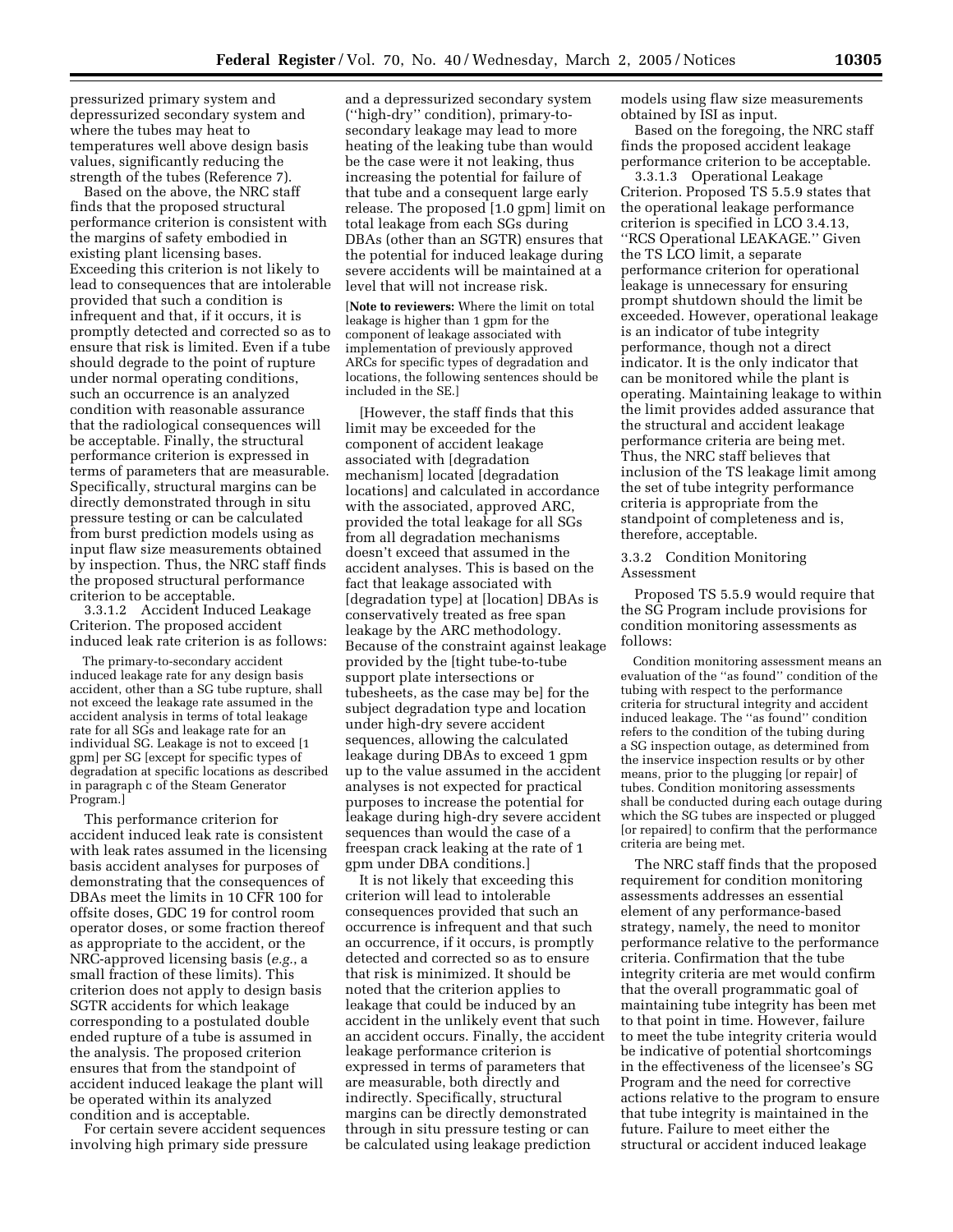pressurized primary system and depressurized secondary system and where the tubes may heat to temperatures well above design basis values, significantly reducing the strength of the tubes (Reference 7).

Based on the above, the NRC staff finds that the proposed structural performance criterion is consistent with the margins of safety embodied in existing plant licensing bases. Exceeding this criterion is not likely to lead to consequences that are intolerable provided that such a condition is infrequent and that, if it occurs, it is promptly detected and corrected so as to ensure that risk is limited. Even if a tube should degrade to the point of rupture under normal operating conditions, such an occurrence is an analyzed condition with reasonable assurance that the radiological consequences will be acceptable. Finally, the structural performance criterion is expressed in terms of parameters that are measurable. Specifically, structural margins can be directly demonstrated through in situ pressure testing or can be calculated from burst prediction models using as input flaw size measurements obtained by inspection. Thus, the NRC staff finds the proposed structural performance criterion to be acceptable.

3.3.1.2 Accident Induced Leakage Criterion. The proposed accident induced leak rate criterion is as follows:

The primary-to-secondary accident induced leakage rate for any design basis accident, other than a SG tube rupture, shall not exceed the leakage rate assumed in the accident analysis in terms of total leakage rate for all SGs and leakage rate for an individual SG. Leakage is not to exceed [1 gpm] per SG [except for specific types of degradation at specific locations as described in paragraph c of the Steam Generator Program.]

This performance criterion for accident induced leak rate is consistent with leak rates assumed in the licensing basis accident analyses for purposes of demonstrating that the consequences of DBAs meet the limits in 10 CFR 100 for offsite doses, GDC 19 for control room operator doses, or some fraction thereof as appropriate to the accident, or the NRC-approved licensing basis (*e.g.*, a small fraction of these limits). This criterion does not apply to design basis SGTR accidents for which leakage corresponding to a postulated double ended rupture of a tube is assumed in the analysis. The proposed criterion ensures that from the standpoint of accident induced leakage the plant will be operated within its analyzed condition and is acceptable.

For certain severe accident sequences involving high primary side pressure

and a depressurized secondary system (''high-dry'' condition), primary-tosecondary leakage may lead to more heating of the leaking tube than would be the case were it not leaking, thus increasing the potential for failure of that tube and a consequent large early release. The proposed [1.0 gpm] limit on total leakage from each SGs during DBAs (other than an SGTR) ensures that the potential for induced leakage during severe accidents will be maintained at a level that will not increase risk.

[**Note to reviewers:** Where the limit on total leakage is higher than 1 gpm for the component of leakage associated with implementation of previously approved ARCs for specific types of degradation and locations, the following sentences should be included in the SE.]

[However, the staff finds that this limit may be exceeded for the component of accident leakage associated with [degradation mechanism] located [degradation locations] and calculated in accordance with the associated, approved ARC, provided the total leakage for all SGs from all degradation mechanisms doesn't exceed that assumed in the accident analyses. This is based on the fact that leakage associated with [degradation type] at [location] DBAs is conservatively treated as free span leakage by the ARC methodology. Because of the constraint against leakage provided by the [tight tube-to-tube support plate intersections or tubesheets, as the case may be] for the subject degradation type and location under high-dry severe accident sequences, allowing the calculated leakage during DBAs to exceed 1 gpm up to the value assumed in the accident analyses is not expected for practical purposes to increase the potential for leakage during high-dry severe accident sequences than would the case of a freespan crack leaking at the rate of 1 gpm under DBA conditions.]

It is not likely that exceeding this criterion will lead to intolerable consequences provided that such an occurrence is infrequent and that such an occurrence, if it occurs, is promptly detected and corrected so as to ensure that risk is minimized. It should be noted that the criterion applies to leakage that could be induced by an accident in the unlikely event that such an accident occurs. Finally, the accident leakage performance criterion is expressed in terms of parameters that are measurable, both directly and indirectly. Specifically, structural margins can be directly demonstrated through in situ pressure testing or can be calculated using leakage prediction

models using flaw size measurements obtained by ISI as input.

Based on the foregoing, the NRC staff finds the proposed accident leakage performance criterion to be acceptable.

3.3.1.3 Operational Leakage Criterion. Proposed TS 5.5.9 states that the operational leakage performance criterion is specified in LCO 3.4.13, ''RCS Operational LEAKAGE.'' Given the TS LCO limit, a separate performance criterion for operational leakage is unnecessary for ensuring prompt shutdown should the limit be exceeded. However, operational leakage is an indicator of tube integrity performance, though not a direct indicator. It is the only indicator that can be monitored while the plant is operating. Maintaining leakage to within the limit provides added assurance that the structural and accident leakage performance criteria are being met. Thus, the NRC staff believes that inclusion of the TS leakage limit among the set of tube integrity performance criteria is appropriate from the standpoint of completeness and is, therefore, acceptable.

#### 3.3.2 Condition Monitoring Assessment

Proposed TS 5.5.9 would require that the SG Program include provisions for condition monitoring assessments as follows:

Condition monitoring assessment means an evaluation of the ''as found'' condition of the tubing with respect to the performance criteria for structural integrity and accident induced leakage. The ''as found'' condition refers to the condition of the tubing during a SG inspection outage, as determined from the inservice inspection results or by other means, prior to the plugging [or repair] of tubes. Condition monitoring assessments shall be conducted during each outage during which the SG tubes are inspected or plugged [or repaired] to confirm that the performance criteria are being met.

The NRC staff finds that the proposed requirement for condition monitoring assessments addresses an essential element of any performance-based strategy, namely, the need to monitor performance relative to the performance criteria. Confirmation that the tube integrity criteria are met would confirm that the overall programmatic goal of maintaining tube integrity has been met to that point in time. However, failure to meet the tube integrity criteria would be indicative of potential shortcomings in the effectiveness of the licensee's SG Program and the need for corrective actions relative to the program to ensure that tube integrity is maintained in the future. Failure to meet either the structural or accident induced leakage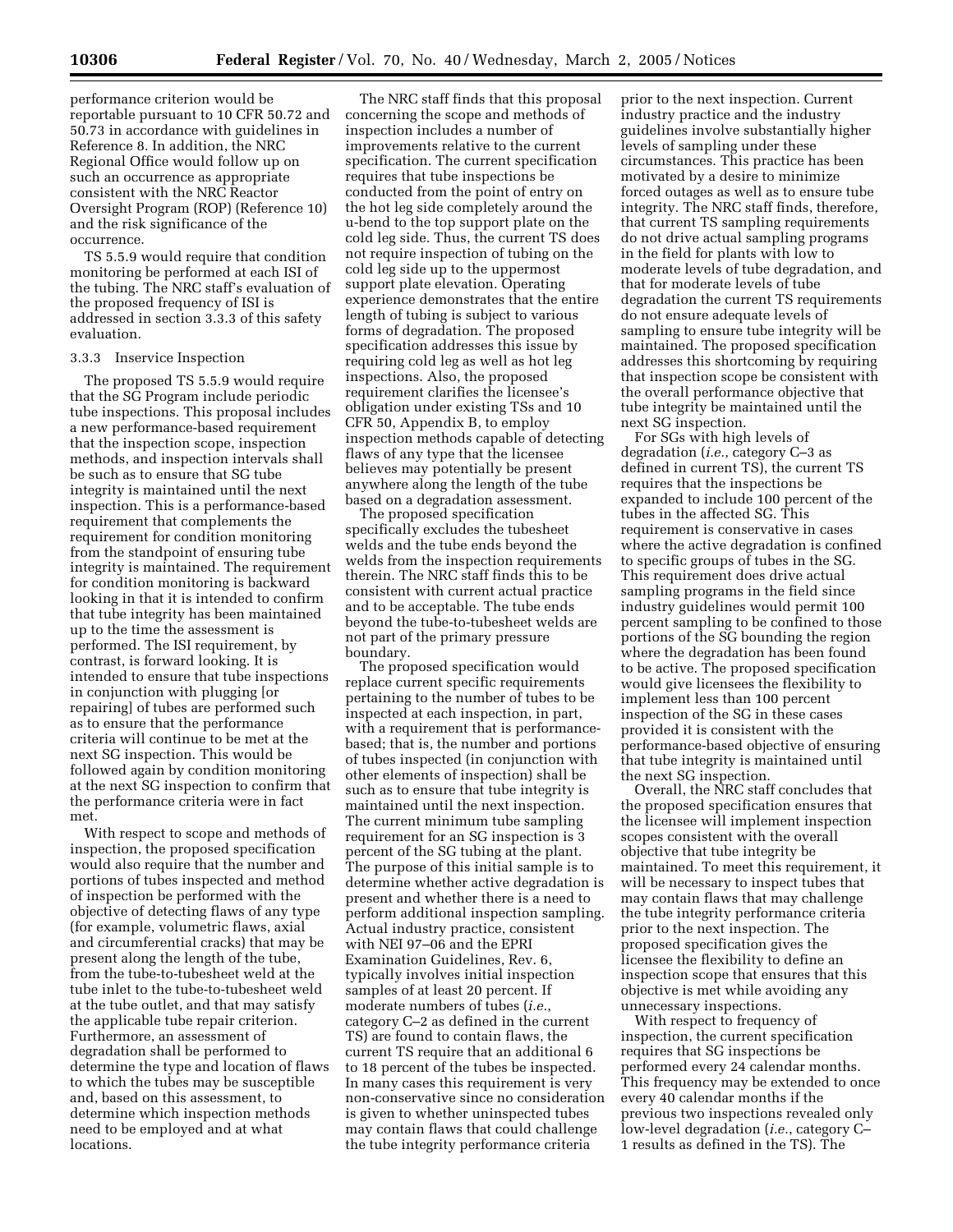performance criterion would be reportable pursuant to 10 CFR 50.72 and 50.73 in accordance with guidelines in Reference 8. In addition, the NRC Regional Office would follow up on such an occurrence as appropriate consistent with the NRC Reactor Oversight Program (ROP) (Reference 10) and the risk significance of the occurrence.

TS 5.5.9 would require that condition monitoring be performed at each ISI of the tubing. The NRC staff's evaluation of the proposed frequency of ISI is addressed in section 3.3.3 of this safety evaluation.

# 3.3.3 Inservice Inspection

The proposed TS 5.5.9 would require that the SG Program include periodic tube inspections. This proposal includes a new performance-based requirement that the inspection scope, inspection methods, and inspection intervals shall be such as to ensure that SG tube integrity is maintained until the next inspection. This is a performance-based requirement that complements the requirement for condition monitoring from the standpoint of ensuring tube integrity is maintained. The requirement for condition monitoring is backward looking in that it is intended to confirm that tube integrity has been maintained up to the time the assessment is performed. The ISI requirement, by contrast, is forward looking. It is intended to ensure that tube inspections in conjunction with plugging [or repairing] of tubes are performed such as to ensure that the performance criteria will continue to be met at the next SG inspection. This would be followed again by condition monitoring at the next SG inspection to confirm that the performance criteria were in fact met.

With respect to scope and methods of inspection, the proposed specification would also require that the number and portions of tubes inspected and method of inspection be performed with the objective of detecting flaws of any type (for example, volumetric flaws, axial and circumferential cracks) that may be present along the length of the tube, from the tube-to-tubesheet weld at the tube inlet to the tube-to-tubesheet weld at the tube outlet, and that may satisfy the applicable tube repair criterion. Furthermore, an assessment of degradation shall be performed to determine the type and location of flaws to which the tubes may be susceptible and, based on this assessment, to determine which inspection methods need to be employed and at what locations.

The NRC staff finds that this proposal concerning the scope and methods of inspection includes a number of improvements relative to the current specification. The current specification requires that tube inspections be conducted from the point of entry on the hot leg side completely around the u-bend to the top support plate on the cold leg side. Thus, the current TS does not require inspection of tubing on the cold leg side up to the uppermost support plate elevation. Operating experience demonstrates that the entire length of tubing is subject to various forms of degradation. The proposed specification addresses this issue by requiring cold leg as well as hot leg inspections. Also, the proposed requirement clarifies the licensee's obligation under existing TSs and 10 CFR 50, Appendix B, to employ inspection methods capable of detecting flaws of any type that the licensee believes may potentially be present anywhere along the length of the tube based on a degradation assessment.

The proposed specification specifically excludes the tubesheet welds and the tube ends beyond the welds from the inspection requirements therein. The NRC staff finds this to be consistent with current actual practice and to be acceptable. The tube ends beyond the tube-to-tubesheet welds are not part of the primary pressure boundary.

The proposed specification would replace current specific requirements pertaining to the number of tubes to be inspected at each inspection, in part, with a requirement that is performancebased; that is, the number and portions of tubes inspected (in conjunction with other elements of inspection) shall be such as to ensure that tube integrity is maintained until the next inspection. The current minimum tube sampling requirement for an SG inspection is 3 percent of the SG tubing at the plant. The purpose of this initial sample is to determine whether active degradation is present and whether there is a need to perform additional inspection sampling. Actual industry practice, consistent with NEI 97–06 and the EPRI Examination Guidelines, Rev. 6, typically involves initial inspection samples of at least 20 percent. If moderate numbers of tubes (*i.e.*, category C–2 as defined in the current TS) are found to contain flaws, the current TS require that an additional 6 to 18 percent of the tubes be inspected. In many cases this requirement is very non-conservative since no consideration is given to whether uninspected tubes may contain flaws that could challenge the tube integrity performance criteria

prior to the next inspection. Current industry practice and the industry guidelines involve substantially higher levels of sampling under these circumstances. This practice has been motivated by a desire to minimize forced outages as well as to ensure tube integrity. The NRC staff finds, therefore, that current TS sampling requirements do not drive actual sampling programs in the field for plants with low to moderate levels of tube degradation, and that for moderate levels of tube degradation the current TS requirements do not ensure adequate levels of sampling to ensure tube integrity will be maintained. The proposed specification addresses this shortcoming by requiring that inspection scope be consistent with the overall performance objective that tube integrity be maintained until the next SG inspection.

For SGs with high levels of degradation (*i.e.*, category C–3 as defined in current TS), the current TS requires that the inspections be expanded to include 100 percent of the tubes in the affected SG. This requirement is conservative in cases where the active degradation is confined to specific groups of tubes in the SG. This requirement does drive actual sampling programs in the field since industry guidelines would permit 100 percent sampling to be confined to those portions of the SG bounding the region where the degradation has been found to be active. The proposed specification would give licensees the flexibility to implement less than 100 percent inspection of the SG in these cases provided it is consistent with the performance-based objective of ensuring that tube integrity is maintained until the next SG inspection.

Overall, the NRC staff concludes that the proposed specification ensures that the licensee will implement inspection scopes consistent with the overall objective that tube integrity be maintained. To meet this requirement, it will be necessary to inspect tubes that may contain flaws that may challenge the tube integrity performance criteria prior to the next inspection. The proposed specification gives the licensee the flexibility to define an inspection scope that ensures that this objective is met while avoiding any unnecessary inspections.

With respect to frequency of inspection, the current specification requires that SG inspections be performed every 24 calendar months. This frequency may be extended to once every 40 calendar months if the previous two inspections revealed only low-level degradation (*i.e.*, category C– 1 results as defined in the TS). The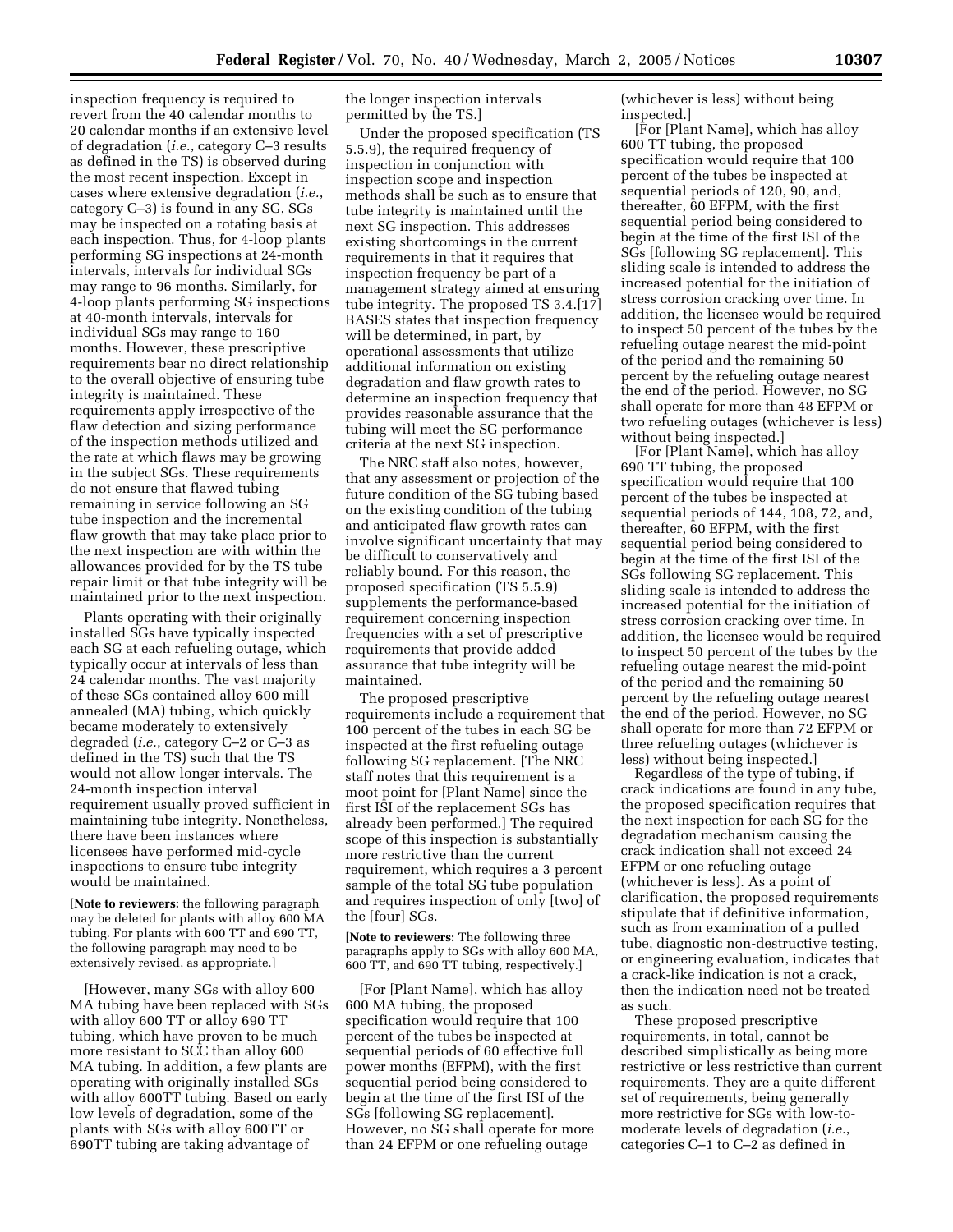inspection frequency is required to revert from the 40 calendar months to 20 calendar months if an extensive level of degradation (*i.e.*, category C–3 results as defined in the TS) is observed during the most recent inspection. Except in cases where extensive degradation (*i.e.*, category C–3) is found in any SG, SGs may be inspected on a rotating basis at each inspection. Thus, for 4-loop plants performing SG inspections at 24-month intervals, intervals for individual SGs may range to 96 months. Similarly, for 4-loop plants performing SG inspections at 40-month intervals, intervals for individual SGs may range to 160 months. However, these prescriptive requirements bear no direct relationship to the overall objective of ensuring tube integrity is maintained. These requirements apply irrespective of the flaw detection and sizing performance of the inspection methods utilized and the rate at which flaws may be growing in the subject SGs. These requirements do not ensure that flawed tubing remaining in service following an SG tube inspection and the incremental flaw growth that may take place prior to the next inspection are with within the allowances provided for by the TS tube repair limit or that tube integrity will be maintained prior to the next inspection.

Plants operating with their originally installed SGs have typically inspected each SG at each refueling outage, which typically occur at intervals of less than 24 calendar months. The vast majority of these SGs contained alloy 600 mill annealed (MA) tubing, which quickly became moderately to extensively degraded (*i.e.*, category C–2 or C–3 as defined in the TS) such that the TS would not allow longer intervals. The 24-month inspection interval requirement usually proved sufficient in maintaining tube integrity. Nonetheless, there have been instances where licensees have performed mid-cycle inspections to ensure tube integrity would be maintained.

[**Note to reviewers:** the following paragraph may be deleted for plants with alloy 600 MA tubing. For plants with 600 TT and 690 TT, the following paragraph may need to be extensively revised, as appropriate.]

[However, many SGs with alloy 600 MA tubing have been replaced with SGs with alloy 600 TT or alloy 690 TT tubing, which have proven to be much more resistant to SCC than alloy 600 MA tubing. In addition, a few plants are operating with originally installed SGs with alloy 600TT tubing. Based on early low levels of degradation, some of the plants with SGs with alloy 600TT or 690TT tubing are taking advantage of

the longer inspection intervals permitted by the TS.]

Under the proposed specification (TS 5.5.9), the required frequency of inspection in conjunction with inspection scope and inspection methods shall be such as to ensure that tube integrity is maintained until the next SG inspection. This addresses existing shortcomings in the current requirements in that it requires that inspection frequency be part of a management strategy aimed at ensuring tube integrity. The proposed TS 3.4.[17] BASES states that inspection frequency will be determined, in part, by operational assessments that utilize additional information on existing degradation and flaw growth rates to determine an inspection frequency that provides reasonable assurance that the tubing will meet the SG performance criteria at the next SG inspection.

The NRC staff also notes, however, that any assessment or projection of the future condition of the SG tubing based on the existing condition of the tubing and anticipated flaw growth rates can involve significant uncertainty that may be difficult to conservatively and reliably bound. For this reason, the proposed specification (TS 5.5.9) supplements the performance-based requirement concerning inspection frequencies with a set of prescriptive requirements that provide added assurance that tube integrity will be maintained.

The proposed prescriptive requirements include a requirement that 100 percent of the tubes in each SG be inspected at the first refueling outage following SG replacement. [The NRC staff notes that this requirement is a moot point for [Plant Name] since the first ISI of the replacement SGs has already been performed.] The required scope of this inspection is substantially more restrictive than the current requirement, which requires a 3 percent sample of the total SG tube population and requires inspection of only [two] of the [four] SGs.

[**Note to reviewers:** The following three paragraphs apply to SGs with alloy 600 MA, 600 TT, and 690 TT tubing, respectively.]

[For [Plant Name], which has alloy 600 MA tubing, the proposed specification would require that 100 percent of the tubes be inspected at sequential periods of 60 effective full power months (EFPM), with the first sequential period being considered to begin at the time of the first ISI of the SGs [following SG replacement]. However, no SG shall operate for more than 24 EFPM or one refueling outage

(whichever is less) without being inspected.]

[For [Plant Name], which has alloy 600 TT tubing, the proposed specification would require that 100 percent of the tubes be inspected at sequential periods of 120, 90, and, thereafter, 60 EFPM, with the first sequential period being considered to begin at the time of the first ISI of the SGs [following SG replacement]. This sliding scale is intended to address the increased potential for the initiation of stress corrosion cracking over time. In addition, the licensee would be required to inspect 50 percent of the tubes by the refueling outage nearest the mid-point of the period and the remaining 50 percent by the refueling outage nearest the end of the period. However, no SG shall operate for more than 48 EFPM or two refueling outages (whichever is less) without being inspected.]

[For [Plant Name], which has alloy 690 TT tubing, the proposed specification would require that 100 percent of the tubes be inspected at sequential periods of 144, 108, 72, and, thereafter, 60 EFPM, with the first sequential period being considered to begin at the time of the first ISI of the SGs following SG replacement. This sliding scale is intended to address the increased potential for the initiation of stress corrosion cracking over time. In addition, the licensee would be required to inspect 50 percent of the tubes by the refueling outage nearest the mid-point of the period and the remaining 50 percent by the refueling outage nearest the end of the period. However, no SG shall operate for more than 72 EFPM or three refueling outages (whichever is less) without being inspected.]

Regardless of the type of tubing, if crack indications are found in any tube, the proposed specification requires that the next inspection for each SG for the degradation mechanism causing the crack indication shall not exceed 24 EFPM or one refueling outage (whichever is less). As a point of clarification, the proposed requirements stipulate that if definitive information, such as from examination of a pulled tube, diagnostic non-destructive testing, or engineering evaluation, indicates that a crack-like indication is not a crack, then the indication need not be treated as such.

These proposed prescriptive requirements, in total, cannot be described simplistically as being more restrictive or less restrictive than current requirements. They are a quite different set of requirements, being generally more restrictive for SGs with low-tomoderate levels of degradation (*i.e.*, categories C–1 to C–2 as defined in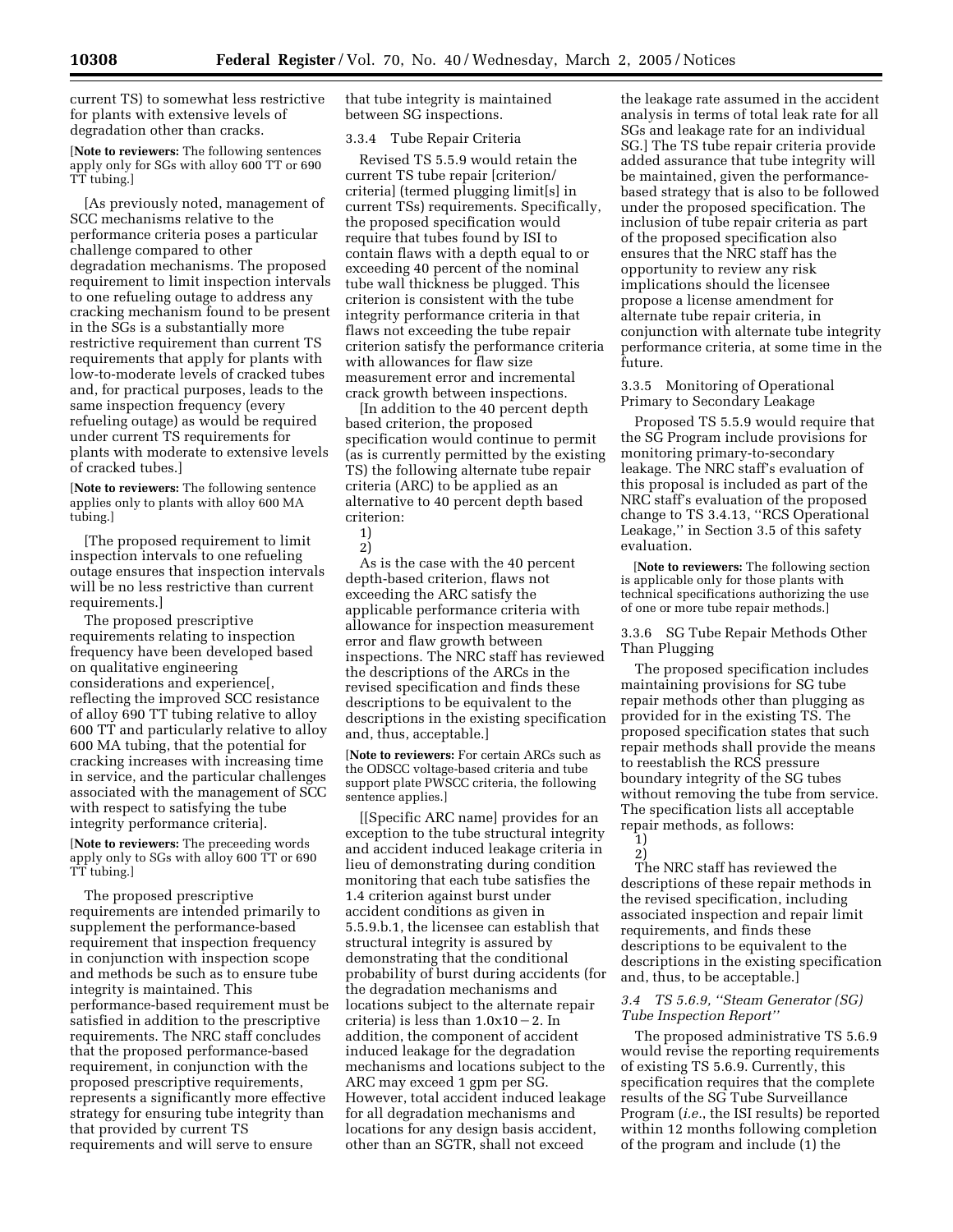current TS) to somewhat less restrictive for plants with extensive levels of degradation other than cracks.

[**Note to reviewers:** The following sentences apply only for SGs with alloy 600 TT or 690 TT tubing.]

[As previously noted, management of SCC mechanisms relative to the performance criteria poses a particular challenge compared to other degradation mechanisms. The proposed requirement to limit inspection intervals to one refueling outage to address any cracking mechanism found to be present in the SGs is a substantially more restrictive requirement than current TS requirements that apply for plants with low-to-moderate levels of cracked tubes and, for practical purposes, leads to the same inspection frequency (every refueling outage) as would be required under current TS requirements for plants with moderate to extensive levels of cracked tubes.]

[**Note to reviewers:** The following sentence applies only to plants with alloy 600 MA tubing.]

[The proposed requirement to limit inspection intervals to one refueling outage ensures that inspection intervals will be no less restrictive than current requirements.]

The proposed prescriptive requirements relating to inspection frequency have been developed based on qualitative engineering considerations and experience[, reflecting the improved SCC resistance of alloy 690 TT tubing relative to alloy 600 TT and particularly relative to alloy 600 MA tubing, that the potential for cracking increases with increasing time in service, and the particular challenges associated with the management of SCC with respect to satisfying the tube integrity performance criteria].

[**Note to reviewers:** The preceeding words apply only to SGs with alloy 600 TT or 690 TT tubing.]

The proposed prescriptive requirements are intended primarily to supplement the performance-based requirement that inspection frequency in conjunction with inspection scope and methods be such as to ensure tube integrity is maintained. This performance-based requirement must be satisfied in addition to the prescriptive requirements. The NRC staff concludes that the proposed performance-based requirement, in conjunction with the proposed prescriptive requirements, represents a significantly more effective strategy for ensuring tube integrity than that provided by current TS requirements and will serve to ensure

that tube integrity is maintained between SG inspections.

3.3.4 Tube Repair Criteria

Revised TS 5.5.9 would retain the current TS tube repair [criterion/ criteria] (termed plugging limit[s] in current TSs) requirements. Specifically, the proposed specification would require that tubes found by ISI to contain flaws with a depth equal to or exceeding 40 percent of the nominal tube wall thickness be plugged. This criterion is consistent with the tube integrity performance criteria in that flaws not exceeding the tube repair criterion satisfy the performance criteria with allowances for flaw size measurement error and incremental crack growth between inspections.

[In addition to the 40 percent depth based criterion, the proposed specification would continue to permit (as is currently permitted by the existing TS) the following alternate tube repair criteria (ARC) to be applied as an alternative to 40 percent depth based criterion:

2) As is the case with the 40 percent depth-based criterion, flaws not exceeding the ARC satisfy the applicable performance criteria with allowance for inspection measurement error and flaw growth between inspections. The NRC staff has reviewed the descriptions of the ARCs in the revised specification and finds these descriptions to be equivalent to the descriptions in the existing specification and, thus, acceptable.]

[**Note to reviewers:** For certain ARCs such as the ODSCC voltage-based criteria and tube support plate PWSCC criteria, the following sentence applies.]

[[Specific ARC name] provides for an exception to the tube structural integrity and accident induced leakage criteria in lieu of demonstrating during condition monitoring that each tube satisfies the 1.4 criterion against burst under accident conditions as given in 5.5.9.b.1, the licensee can establish that structural integrity is assured by demonstrating that the conditional probability of burst during accidents (for the degradation mechanisms and locations subject to the alternate repair criteria) is less than  $1.0x10 - 2$ . In addition, the component of accident induced leakage for the degradation mechanisms and locations subject to the ARC may exceed 1 gpm per SG. However, total accident induced leakage for all degradation mechanisms and locations for any design basis accident, other than an SGTR, shall not exceed

the leakage rate assumed in the accident analysis in terms of total leak rate for all SGs and leakage rate for an individual SG.] The TS tube repair criteria provide added assurance that tube integrity will be maintained, given the performancebased strategy that is also to be followed under the proposed specification. The inclusion of tube repair criteria as part of the proposed specification also ensures that the NRC staff has the opportunity to review any risk implications should the licensee propose a license amendment for alternate tube repair criteria, in conjunction with alternate tube integrity performance criteria, at some time in the future.

3.3.5 Monitoring of Operational Primary to Secondary Leakage

Proposed TS 5.5.9 would require that the SG Program include provisions for monitoring primary-to-secondary leakage. The NRC staff's evaluation of this proposal is included as part of the NRC staff's evaluation of the proposed change to TS 3.4.13, ''RCS Operational Leakage,'' in Section 3.5 of this safety evaluation.

[**Note to reviewers:** The following section is applicable only for those plants with technical specifications authorizing the use of one or more tube repair methods.]

3.3.6 SG Tube Repair Methods Other Than Plugging

The proposed specification includes maintaining provisions for SG tube repair methods other than plugging as provided for in the existing TS. The proposed specification states that such repair methods shall provide the means to reestablish the RCS pressure boundary integrity of the SG tubes without removing the tube from service. The specification lists all acceptable repair methods, as follows:

1)

2) The NRC staff has reviewed the descriptions of these repair methods in the revised specification, including associated inspection and repair limit requirements, and finds these descriptions to be equivalent to the descriptions in the existing specification and, thus, to be acceptable.]

# *3.4 TS 5.6.9, ''Steam Generator (SG) Tube Inspection Report''*

The proposed administrative TS 5.6.9 would revise the reporting requirements of existing TS 5.6.9. Currently, this specification requires that the complete results of the SG Tube Surveillance Program (*i.e.*, the ISI results) be reported within 12 months following completion of the program and include (1) the

<sup>1)</sup>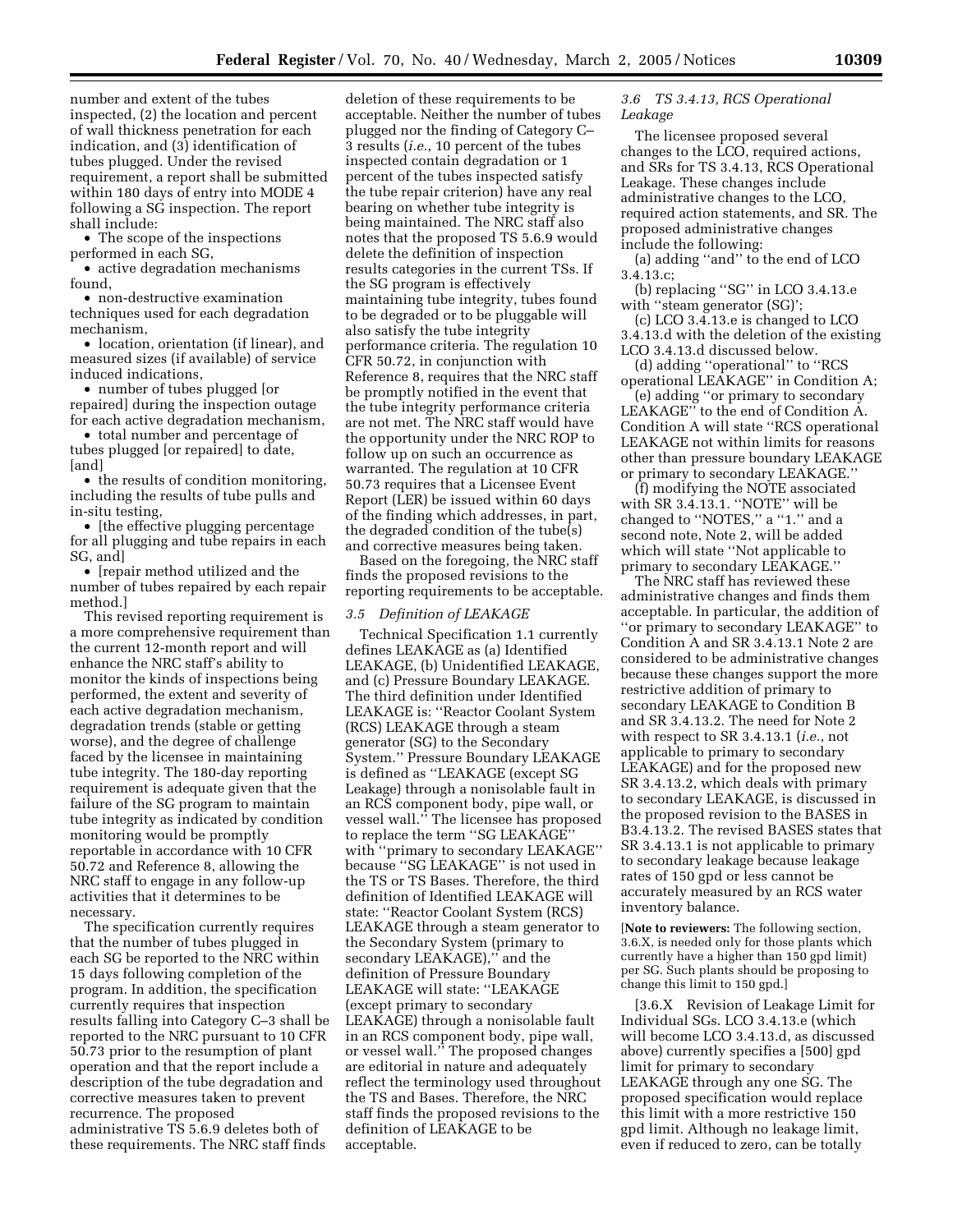number and extent of the tubes inspected, (2) the location and percent of wall thickness penetration for each indication, and (3) identification of tubes plugged. Under the revised requirement, a report shall be submitted within 180 days of entry into MODE 4 following a SG inspection. The report shall include:

• The scope of the inspections performed in each SG,

• active degradation mechanisms found,

• non-destructive examination techniques used for each degradation mechanism,

• location, orientation (if linear), and measured sizes (if available) of service induced indications,

• number of tubes plugged [or repaired] during the inspection outage for each active degradation mechanism,

• total number and percentage of tubes plugged [or repaired] to date, [and]

• the results of condition monitoring, including the results of tube pulls and in-situ testing,

• [the effective plugging percentage for all plugging and tube repairs in each SG, and]

• [repair method utilized and the number of tubes repaired by each repair method.]

This revised reporting requirement is a more comprehensive requirement than the current 12-month report and will enhance the NRC staff's ability to monitor the kinds of inspections being performed, the extent and severity of each active degradation mechanism, degradation trends (stable or getting worse), and the degree of challenge faced by the licensee in maintaining tube integrity. The 180-day reporting requirement is adequate given that the failure of the SG program to maintain tube integrity as indicated by condition monitoring would be promptly reportable in accordance with 10 CFR 50.72 and Reference 8, allowing the NRC staff to engage in any follow-up activities that it determines to be necessary.

The specification currently requires that the number of tubes plugged in each SG be reported to the NRC within 15 days following completion of the program. In addition, the specification currently requires that inspection results falling into Category C–3 shall be reported to the NRC pursuant to 10 CFR 50.73 prior to the resumption of plant operation and that the report include a description of the tube degradation and corrective measures taken to prevent recurrence. The proposed administrative TS 5.6.9 deletes both of these requirements. The NRC staff finds

deletion of these requirements to be acceptable. Neither the number of tubes plugged nor the finding of Category C– 3 results (*i.e.*, 10 percent of the tubes inspected contain degradation or 1 percent of the tubes inspected satisfy the tube repair criterion) have any real bearing on whether tube integrity is being maintained. The NRC staff also notes that the proposed TS 5.6.9 would delete the definition of inspection results categories in the current TSs. If the SG program is effectively maintaining tube integrity, tubes found to be degraded or to be pluggable will also satisfy the tube integrity performance criteria. The regulation 10 CFR 50.72, in conjunction with Reference 8, requires that the NRC staff be promptly notified in the event that the tube integrity performance criteria are not met. The NRC staff would have the opportunity under the NRC ROP to follow up on such an occurrence as warranted. The regulation at 10 CFR 50.73 requires that a Licensee Event Report (LER) be issued within 60 days of the finding which addresses, in part, the degraded condition of the tube(s) and corrective measures being taken.

Based on the foregoing, the NRC staff finds the proposed revisions to the reporting requirements to be acceptable.

#### *3.5 Definition of LEAKAGE*

Technical Specification 1.1 currently defines LEAKAGE as (a) Identified LEAKAGE, (b) Unidentified LEAKAGE, and (c) Pressure Boundary LEAKAGE. The third definition under Identified LEAKAGE is: ''Reactor Coolant System (RCS) LEAKAGE through a steam generator (SG) to the Secondary System.'' Pressure Boundary LEAKAGE is defined as ''LEAKAGE (except SG Leakage) through a nonisolable fault in an RCS component body, pipe wall, or vessel wall.'' The licensee has proposed to replace the term ''SG LEAKAGE'' with ''primary to secondary LEAKAGE'' because ''SG LEAKAGE'' is not used in the TS or TS Bases. Therefore, the third definition of Identified LEAKAGE will state: ''Reactor Coolant System (RCS) LEAKAGE through a steam generator to the Secondary System (primary to secondary LEAKAGE)," and the definition of Pressure Boundary LEAKAGE will state: ''LEAKAGE (except primary to secondary LEAKAGE) through a nonisolable fault in an RCS component body, pipe wall, or vessel wall.'' The proposed changes are editorial in nature and adequately reflect the terminology used throughout the TS and Bases. Therefore, the NRC staff finds the proposed revisions to the definition of LEAKAGE to be acceptable.

*3.6 TS 3.4.13, RCS Operational Leakage* 

The licensee proposed several changes to the LCO, required actions, and SRs for TS 3.4.13, RCS Operational Leakage. These changes include administrative changes to the LCO, required action statements, and SR. The proposed administrative changes include the following:

(a) adding ''and'' to the end of LCO 3.4.13.c;

(b) replacing ''SG'' in LCO 3.4.13.e with ''steam generator (SG)';

(c) LCO 3.4.13.e is changed to LCO 3.4.13.d with the deletion of the existing LCO 3.4.13.d discussed below.

(d) adding ''operational'' to ''RCS operational LEAKAGE'' in Condition A;

(e) adding ''or primary to secondary LEAKAGE'' to the end of Condition A. Condition A will state ''RCS operational LEAKAGE not within limits for reasons other than pressure boundary LEAKAGE or primary to secondary LEAKAGE.''

(f) modifying the NOTE associated with SR 3.4.13.1. ''NOTE'' will be changed to ''NOTES,'' a ''1.'' and a second note, Note 2, will be added which will state ''Not applicable to primary to secondary LEAKAGE.''

The NRC staff has reviewed these administrative changes and finds them acceptable. In particular, the addition of ''or primary to secondary LEAKAGE'' to Condition A and SR 3.4.13.1 Note 2 are considered to be administrative changes because these changes support the more restrictive addition of primary to secondary LEAKAGE to Condition B and SR 3.4.13.2. The need for Note 2 with respect to SR 3.4.13.1 (*i.e.*, not applicable to primary to secondary LEAKAGE) and for the proposed new SR 3.4.13.2, which deals with primary to secondary LEAKAGE, is discussed in the proposed revision to the BASES in B3.4.13.2. The revised BASES states that SR 3.4.13.1 is not applicable to primary to secondary leakage because leakage rates of 150 gpd or less cannot be accurately measured by an RCS water inventory balance.

[**Note to reviewers:** The following section, 3.6.X, is needed only for those plants which currently have a higher than 150 gpd limit) per SG. Such plants should be proposing to change this limit to 150 gpd.]

[3.6.X Revision of Leakage Limit for Individual SGs. LCO 3.4.13.e (which will become LCO 3.4.13.d, as discussed above) currently specifies a [500] gpd limit for primary to secondary LEAKAGE through any one SG. The proposed specification would replace this limit with a more restrictive 150 gpd limit. Although no leakage limit, even if reduced to zero, can be totally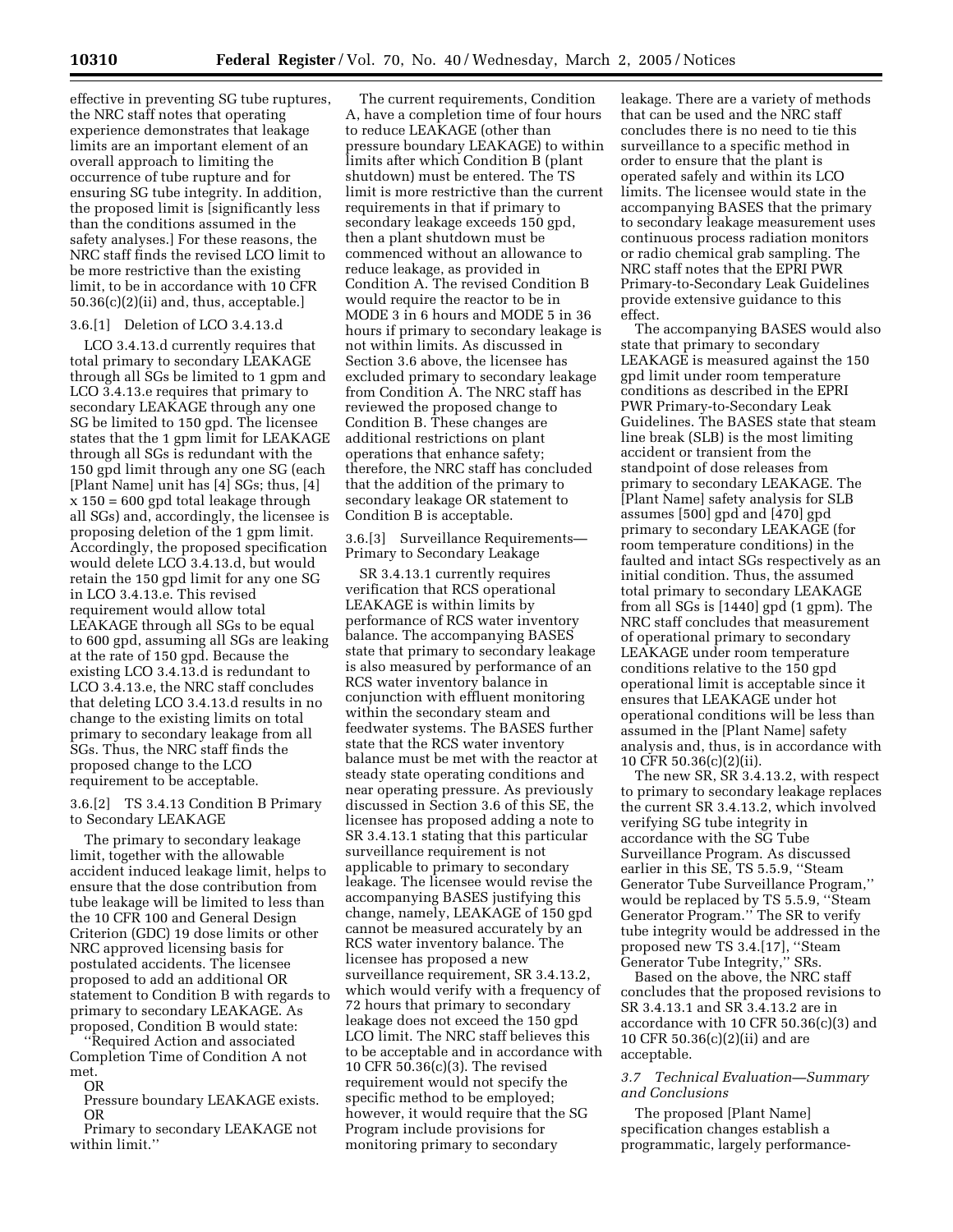effective in preventing SG tube ruptures, the NRC staff notes that operating experience demonstrates that leakage limits are an important element of an overall approach to limiting the occurrence of tube rupture and for ensuring SG tube integrity. In addition, the proposed limit is [significantly less than the conditions assumed in the safety analyses.] For these reasons, the NRC staff finds the revised LCO limit to be more restrictive than the existing limit, to be in accordance with 10 CFR 50.36(c)(2)(ii) and, thus, acceptable.]

#### 3.6.[1] Deletion of LCO 3.4.13.d

LCO 3.4.13.d currently requires that total primary to secondary LEAKAGE through all SGs be limited to 1 gpm and LCO 3.4.13.e requires that primary to secondary LEAKAGE through any one SG be limited to 150 gpd. The licensee states that the 1 gpm limit for LEAKAGE through all SGs is redundant with the 150 gpd limit through any one SG (each [Plant Name] unit has [4] SGs; thus, [4] x 150 = 600 gpd total leakage through all SGs) and, accordingly, the licensee is proposing deletion of the 1 gpm limit. Accordingly, the proposed specification would delete LCO 3.4.13.d, but would retain the 150 gpd limit for any one SG in LCO 3.4.13.e. This revised requirement would allow total LEAKAGE through all SGs to be equal to 600 gpd, assuming all SGs are leaking at the rate of 150 gpd. Because the existing LCO 3.4.13.d is redundant to LCO 3.4.13.e, the NRC staff concludes that deleting LCO 3.4.13.d results in no change to the existing limits on total primary to secondary leakage from all SGs. Thus, the NRC staff finds the proposed change to the LCO requirement to be acceptable.

# 3.6.[2] TS 3.4.13 Condition B Primary to Secondary LEAKAGE

The primary to secondary leakage limit, together with the allowable accident induced leakage limit, helps to ensure that the dose contribution from tube leakage will be limited to less than the 10 CFR 100 and General Design Criterion (GDC) 19 dose limits or other NRC approved licensing basis for postulated accidents. The licensee proposed to add an additional OR statement to Condition B with regards to primary to secondary LEAKAGE. As proposed, Condition B would state:

''Required Action and associated Completion Time of Condition A not met.

OR

Pressure boundary LEAKAGE exists. OR

Primary to secondary LEAKAGE not within limit.''

The current requirements, Condition A, have a completion time of four hours to reduce LEAKAGE (other than pressure boundary LEAKAGE) to within limits after which Condition B (plant shutdown) must be entered. The TS limit is more restrictive than the current requirements in that if primary to secondary leakage exceeds 150 gpd, then a plant shutdown must be commenced without an allowance to reduce leakage, as provided in Condition A. The revised Condition B would require the reactor to be in MODE 3 in 6 hours and MODE 5 in 36 hours if primary to secondary leakage is not within limits. As discussed in Section 3.6 above, the licensee has excluded primary to secondary leakage from Condition A. The NRC staff has reviewed the proposed change to Condition B. These changes are additional restrictions on plant operations that enhance safety; therefore, the NRC staff has concluded that the addition of the primary to secondary leakage OR statement to Condition B is acceptable.

3.6.[3] Surveillance Requirements— Primary to Secondary Leakage

SR 3.4.13.1 currently requires verification that RCS operational LEAKAGE is within limits by performance of RCS water inventory balance. The accompanying BASES state that primary to secondary leakage is also measured by performance of an RCS water inventory balance in conjunction with effluent monitoring within the secondary steam and feedwater systems. The BASES further state that the RCS water inventory balance must be met with the reactor at steady state operating conditions and near operating pressure. As previously discussed in Section 3.6 of this SE, the licensee has proposed adding a note to SR 3.4.13.1 stating that this particular surveillance requirement is not applicable to primary to secondary leakage. The licensee would revise the accompanying BASES justifying this change, namely, LEAKAGE of 150 gpd cannot be measured accurately by an RCS water inventory balance. The licensee has proposed a new surveillance requirement, SR 3.4.13.2, which would verify with a frequency of 72 hours that primary to secondary leakage does not exceed the 150 gpd LCO limit. The NRC staff believes this to be acceptable and in accordance with 10 CFR 50.36(c)(3). The revised requirement would not specify the specific method to be employed; however, it would require that the SG Program include provisions for monitoring primary to secondary

leakage. There are a variety of methods that can be used and the NRC staff concludes there is no need to tie this surveillance to a specific method in order to ensure that the plant is operated safely and within its LCO limits. The licensee would state in the accompanying BASES that the primary to secondary leakage measurement uses continuous process radiation monitors or radio chemical grab sampling. The NRC staff notes that the EPRI PWR Primary-to-Secondary Leak Guidelines provide extensive guidance to this effect.

The accompanying BASES would also state that primary to secondary LEAKAGE is measured against the 150 gpd limit under room temperature conditions as described in the EPRI PWR Primary-to-Secondary Leak Guidelines. The BASES state that steam line break (SLB) is the most limiting accident or transient from the standpoint of dose releases from primary to secondary LEAKAGE. The [Plant Name] safety analysis for SLB assumes [500] gpd and [470] gpd primary to secondary LEAKAGE (for room temperature conditions) in the faulted and intact SGs respectively as an initial condition. Thus, the assumed total primary to secondary LEAKAGE from all SGs is [1440] gpd (1 gpm). The NRC staff concludes that measurement of operational primary to secondary LEAKAGE under room temperature conditions relative to the 150 gpd operational limit is acceptable since it ensures that LEAKAGE under hot operational conditions will be less than assumed in the [Plant Name] safety analysis and, thus, is in accordance with 10 CFR 50.36(c)(2)(ii).

The new SR, SR 3.4.13.2, with respect to primary to secondary leakage replaces the current SR 3.4.13.2, which involved verifying SG tube integrity in accordance with the SG Tube Surveillance Program. As discussed earlier in this SE, TS 5.5.9, ''Steam Generator Tube Surveillance Program,'' would be replaced by TS 5.5.9, ''Steam Generator Program.'' The SR to verify tube integrity would be addressed in the proposed new TS 3.4.[17], ''Steam Generator Tube Integrity,'' SRs.

Based on the above, the NRC staff concludes that the proposed revisions to SR 3.4.13.1 and SR 3.4.13.2 are in accordance with 10 CFR 50.36(c)(3) and 10 CFR 50.36(c)(2)(ii) and are acceptable.

# *3.7 Technical Evaluation—Summary and Conclusions*

The proposed [Plant Name] specification changes establish a programmatic, largely performance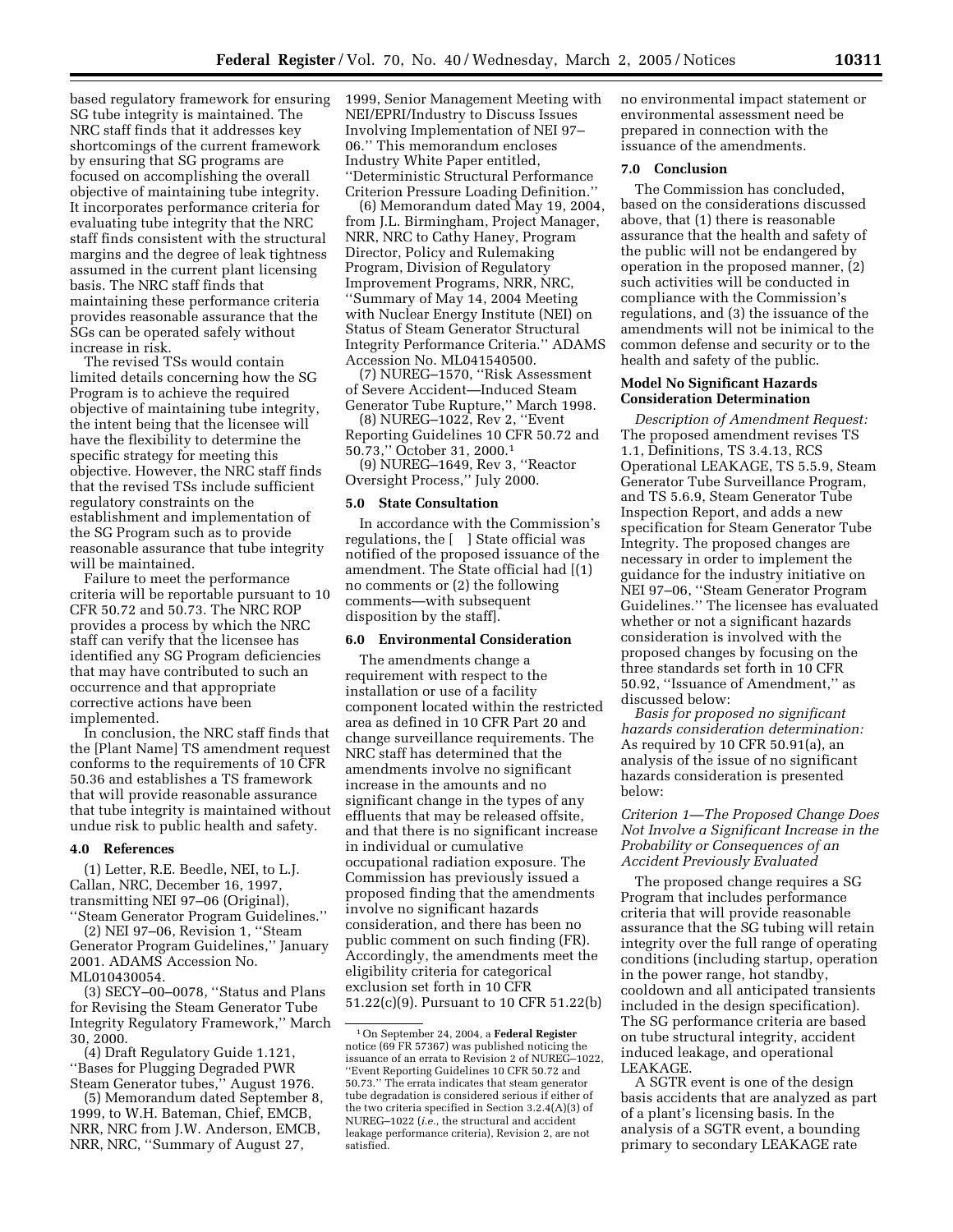based regulatory framework for ensuring SG tube integrity is maintained. The NRC staff finds that it addresses key shortcomings of the current framework by ensuring that SG programs are focused on accomplishing the overall objective of maintaining tube integrity. It incorporates performance criteria for evaluating tube integrity that the NRC staff finds consistent with the structural margins and the degree of leak tightness assumed in the current plant licensing basis. The NRC staff finds that maintaining these performance criteria provides reasonable assurance that the SGs can be operated safely without increase in risk.

The revised TSs would contain limited details concerning how the SG Program is to achieve the required objective of maintaining tube integrity, the intent being that the licensee will have the flexibility to determine the specific strategy for meeting this objective. However, the NRC staff finds that the revised TSs include sufficient regulatory constraints on the establishment and implementation of the SG Program such as to provide reasonable assurance that tube integrity will be maintained.

Failure to meet the performance criteria will be reportable pursuant to 10 CFR 50.72 and 50.73. The NRC ROP provides a process by which the NRC staff can verify that the licensee has identified any SG Program deficiencies that may have contributed to such an occurrence and that appropriate corrective actions have been implemented.

In conclusion, the NRC staff finds that the [Plant Name] TS amendment request conforms to the requirements of 10 CFR 50.36 and establishes a TS framework that will provide reasonable assurance that tube integrity is maintained without undue risk to public health and safety.

#### **4.0 References**

(1) Letter, R.E. Beedle, NEI, to L.J. Callan, NRC, December 16, 1997, transmitting NEI 97–06 (Original), ''Steam Generator Program Guidelines.''

(2) NEI 97–06, Revision 1, ''Steam Generator Program Guidelines,'' January 2001. ADAMS Accession No. ML010430054.

(3) SECY–00–0078, ''Status and Plans for Revising the Steam Generator Tube Integrity Regulatory Framework,'' March 30, 2000.

(4) Draft Regulatory Guide 1.121, ''Bases for Plugging Degraded PWR Steam Generator tubes,'' August 1976.

(5) Memorandum dated September 8, 1999, to W.H. Bateman, Chief, EMCB, NRR, NRC from J.W. Anderson, EMCB, NRR, NRC, ''Summary of August 27,

1999, Senior Management Meeting with NEI/EPRI/Industry to Discuss Issues Involving Implementation of NEI 97– 06.'' This memorandum encloses Industry White Paper entitled, ''Deterministic Structural Performance Criterion Pressure Loading Definition.''

(6) Memorandum dated May 19, 2004, from J.L. Birmingham, Project Manager, NRR, NRC to Cathy Haney, Program Director, Policy and Rulemaking Program, Division of Regulatory Improvement Programs, NRR, NRC, ''Summary of May 14, 2004 Meeting with Nuclear Energy Institute (NEI) on Status of Steam Generator Structural Integrity Performance Criteria.'' ADAMS Accession No. ML041540500.

(7) NUREG–1570, ''Risk Assessment of Severe Accident—Induced Steam Generator Tube Rupture,'' March 1998.

(8) NUREG–1022, Rev 2, ''Event Reporting Guidelines 10 CFR 50.72 and 50.73,'' October 31, 2000.1

(9) NUREG–1649, Rev 3, ''Reactor Oversight Process,'' July 2000.

#### **5.0 State Consultation**

In accordance with the Commission's regulations, the [ ] State official was notified of the proposed issuance of the amendment. The State official had [(1) no comments or (2) the following comments—with subsequent disposition by the staff].

# **6.0 Environmental Consideration**

The amendments change a requirement with respect to the installation or use of a facility component located within the restricted area as defined in 10 CFR Part 20 and change surveillance requirements. The NRC staff has determined that the amendments involve no significant increase in the amounts and no significant change in the types of any effluents that may be released offsite, and that there is no significant increase in individual or cumulative occupational radiation exposure. The Commission has previously issued a proposed finding that the amendments involve no significant hazards consideration, and there has been no public comment on such finding (FR). Accordingly, the amendments meet the eligibility criteria for categorical exclusion set forth in 10 CFR 51.22(c)(9). Pursuant to 10 CFR 51.22(b) no environmental impact statement or environmental assessment need be prepared in connection with the issuance of the amendments.

### **7.0 Conclusion**

The Commission has concluded, based on the considerations discussed above, that (1) there is reasonable assurance that the health and safety of the public will not be endangered by operation in the proposed manner, (2) such activities will be conducted in compliance with the Commission's regulations, and (3) the issuance of the amendments will not be inimical to the common defense and security or to the health and safety of the public.

# **Model No Significant Hazards Consideration Determination**

*Description of Amendment Request:* The proposed amendment revises TS 1.1, Definitions, TS 3.4.13, RCS Operational LEAKAGE, TS 5.5.9, Steam Generator Tube Surveillance Program, and TS 5.6.9, Steam Generator Tube Inspection Report, and adds a new specification for Steam Generator Tube Integrity. The proposed changes are necessary in order to implement the guidance for the industry initiative on NEI 97–06, ''Steam Generator Program Guidelines.'' The licensee has evaluated whether or not a significant hazards consideration is involved with the proposed changes by focusing on the three standards set forth in 10 CFR 50.92, ''Issuance of Amendment,'' as discussed below:

*Basis for proposed no significant hazards consideration determination:* As required by 10 CFR 50.91(a), an analysis of the issue of no significant hazards consideration is presented below:

# *Criterion 1—The Proposed Change Does Not Involve a Significant Increase in the Probability or Consequences of an Accident Previously Evaluated*

The proposed change requires a SG Program that includes performance criteria that will provide reasonable assurance that the SG tubing will retain integrity over the full range of operating conditions (including startup, operation in the power range, hot standby, cooldown and all anticipated transients included in the design specification). The SG performance criteria are based on tube structural integrity, accident induced leakage, and operational LEAKAGE.

A SGTR event is one of the design basis accidents that are analyzed as part of a plant's licensing basis. In the analysis of a SGTR event, a bounding primary to secondary LEAKAGE rate

<sup>1</sup>On September 24, 2004, a **Federal Register** notice (69 FR 57367) was published noticing the issuance of an errata to Revision 2 of NUREG–1022, ''Event Reporting Guidelines 10 CFR 50.72 and 50.73.'' The errata indicates that steam generator tube degradation is considered serious if either of the two criteria specified in Section 3.2.4(A)(3) of NUREG–1022 (*i.e.*, the structural and accident leakage performance criteria), Revision 2, are not satisfied.